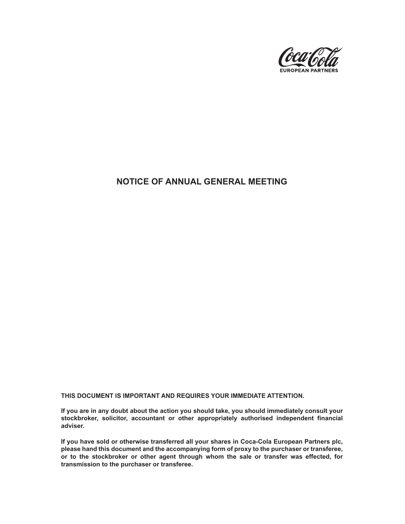

# **NOTICE OF ANNUAL GENERAL MEETING**

**THIS DOCUMENT IS IMPORTANT AND REQUIRES YOUR IMMEDIATE ATTENTION.**

**If you are in any doubt about the action you should take, you should immediately consult your stockbroker, solicitor, accountant or other appropriately authorised independent financial adviser.**

**If you have sold or otherwise transferred all your shares in Coca-Cola European Partners plc, please hand this document and the accompanying form of proxy to the purchaser or transferee, or to the stockbroker or other agent through whom the sale or transfer was effected, for transmission to the purchaser or transferee.**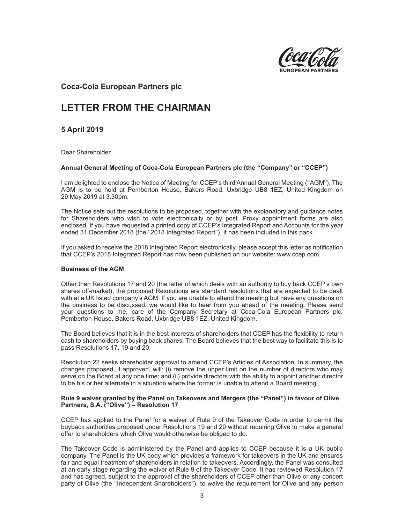

# **Coca-Cola European Partners plc**

# **LETTER FROM THE CHAIRMAN**

**5 April 2019**

Dear Shareholder

## **Annual General Meeting of Coca-Cola European Partners plc (the ''Company'' or ''CCEP'')**

I am delighted to enclose the Notice of Meeting for CCEP's third Annual General Meeting (''AGM''). The AGM is to be held at Pemberton House, Bakers Road, Uxbridge UB8 1EZ, United Kingdom on 29 May 2019 at 3.30pm.

The Notice sets out the resolutions to be proposed, together with the explanatory and guidance notes for Shareholders who wish to vote electronically or by post. Proxy appointment forms are also enclosed. If you have requested a printed copy of CCEP's Integrated Report and Accounts for the year ended 31 December 2018 (the "2018 Integrated Report"), it has been included in this pack.

If you asked to receive the 2018 Integrated Report electronically, please accept this letter as notification that CCEP's 2018 Integrated Report has now been published on our website: www.ccep.com.

#### **Business of the AGM**

Other than Resolutions 17 and 20 (the latter of which deals with an authority to buy back CCEP's own shares off-market), the proposed Resolutions are standard resolutions that are expected to be dealt with at a UK listed company's AGM. If you are unable to attend the meeting but have any questions on the business to be discussed, we would like to hear from you ahead of the meeting. Please send your questions to me, care of the Company Secretary at Coca-Cola European Partners plc, Pemberton House, Bakers Road, Uxbridge UB8 1EZ, United Kingdom.

The Board believes that it is in the best interests of shareholders that CCEP has the flexibility to return cash to shareholders by buying back shares. The Board believes that the best way to facilitate this is to pass Resolutions 17, 19 and 20.

Resolution 22 seeks shareholder approval to amend CCEP's Articles of Association. In summary, the changes proposed, if approved, will: (i) remove the upper limit on the number of directors who may serve on the Board at any one time; and (ii) provide directors with the ability to appoint another director to be his or her alternate in a situation where the former is unable to attend a Board meeting.

#### **Rule 9 waiver granted by the Panel on Takeovers and Mergers (the ''Panel'') in favour of Olive Partners, S.A. (''Olive'') – Resolution 17**

CCEP has applied to the Panel for a waiver of Rule 9 of the Takeover Code in order to permit the buyback authorities proposed under Resolutions 19 and 20 without requiring Olive to make a general offer to shareholders which Olive would otherwise be obliged to do.

The Takeover Code is administered by the Panel and applies to CCEP because it is a UK public company. The Panel is the UK body which provides a framework for takeovers in the UK and ensures fair and equal treatment of shareholders in relation to takeovers. Accordingly, the Panel was consulted at an early stage regarding the waiver of Rule 9 of the Takeover Code. It has reviewed Resolution 17 and has agreed, subject to the approval of the shareholders of CCEP other than Olive or any concert party of Olive (the ''Independent Shareholders''), to waive the requirement for Olive and any person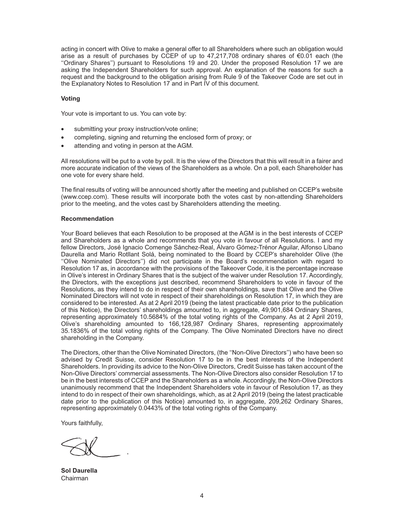acting in concert with Olive to make a general offer to all Shareholders where such an obligation would arise as a result of purchases by CCEP of up to 47,217,708 ordinary shares of €0.01 each (the ''Ordinary Shares'') pursuant to Resolutions 19 and 20. Under the proposed Resolution 17 we are asking the Independent Shareholders for such approval. An explanation of the reasons for such a request and the background to the obligation arising from Rule 9 of the Takeover Code are set out in the Explanatory Notes to Resolution 17 and in Part IV of this document.

#### **Voting**

Your vote is important to us. You can vote by:

- submitting your proxy instruction/vote online;
- completing, signing and returning the enclosed form of proxy; or
- attending and voting in person at the AGM.

All resolutions will be put to a vote by poll. It is the view of the Directors that this will result in a fairer and more accurate indication of the views of the Shareholders as a whole. On a poll, each Shareholder has one vote for every share held.

The final results of voting will be announced shortly after the meeting and published on CCEP's website (www.ccep.com). These results will incorporate both the votes cast by non-attending Shareholders prior to the meeting, and the votes cast by Shareholders attending the meeting.

#### **Recommendation**

Your Board believes that each Resolution to be proposed at the AGM is in the best interests of CCEP and Shareholders as a whole and recommends that you vote in favour of all Resolutions. I and my fellow Directors, José Ignacio Comenge Sánchez-Real, Álvaro Gómez-Trénor Aguilar, Alfonso Líbano Daurella and Mario Rotllant Solá, being nominated to the Board by CCEP's shareholder Olive (the ''Olive Nominated Directors'') did not participate in the Board's recommendation with regard to Resolution 17 as, in accordance with the provisions of the Takeover Code, it is the percentage increase in Olive's interest in Ordinary Shares that is the subject of the waiver under Resolution 17. Accordingly, the Directors, with the exceptions just described, recommend Shareholders to vote in favour of the Resolutions, as they intend to do in respect of their own shareholdings, save that Olive and the Olive Nominated Directors will not vote in respect of their shareholdings on Resolution 17, in which they are considered to be interested. As at 2 April 2019 (being the latest practicable date prior to the publication of this Notice), the Directors' shareholdings amounted to, in aggregate, 49,901,684 Ordinary Shares, representing approximately 10.5684% of the total voting rights of the Company. As at 2 April 2019, Olive's shareholding amounted to 166,128,987 Ordinary Shares, representing approximately 35.1836% of the total voting rights of the Company. The Olive Nominated Directors have no direct shareholding in the Company.

The Directors, other than the Olive Nominated Directors, (the ''Non-Olive Directors'') who have been so advised by Credit Suisse, consider Resolution 17 to be in the best interests of the Independent Shareholders. In providing its advice to the Non-Olive Directors, Credit Suisse has taken account of the Non-Olive Directors' commercial assessments. The Non-Olive Directors also consider Resolution 17 to be in the best interests of CCEP and the Shareholders as a whole. Accordingly, the Non-Olive Directors unanimously recommend that the Independent Shareholders vote in favour of Resolution 17, as they intend to do in respect of their own shareholdings, which, as at 2 April 2019 (being the latest practicable date prior to the publication of this Notice) amounted to, in aggregate, 209,262 Ordinary Shares, representing approximately 0.0443% of the total voting rights of the Company.

Yours faithfully,

**Sol Daurella** Chairman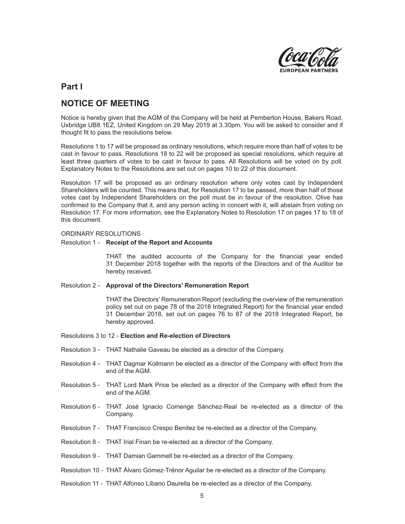

# **Part I**

# **NOTICE OF MEETING**

Notice is hereby given that the AGM of the Company will be held at Pemberton House, Bakers Road, Uxbridge UB8 1EZ, United Kingdom on 29 May 2019 at 3.30pm. You will be asked to consider and if thought fit to pass the resolutions below.

Resolutions 1 to 17 will be proposed as ordinary resolutions, which require more than half of votes to be cast in favour to pass. Resolutions 18 to 22 will be proposed as special resolutions, which require at least three quarters of votes to be cast in favour to pass. All Resolutions will be voted on by poll. Explanatory Notes to the Resolutions are set out on pages 10 to 22 of this document.

Resolution 17 will be proposed as an ordinary resolution where only votes cast by Independent Shareholders will be counted. This means that, for Resolution 17 to be passed, more than half of those votes cast by Independent Shareholders on the poll must be in favour of the resolution. Olive has confirmed to the Company that it, and any person acting in concert with it, will abstain from voting on Resolution 17. For more information, see the Explanatory Notes to Resolution 17 on pages 17 to 18 of this document.

#### ORDINARY RESOLUTIONS

#### Resolution 1 - **Receipt of the Report and Accounts**

THAT the audited accounts of the Company for the financial year ended 31 December 2018 together with the reports of the Directors and of the Auditor be hereby received.

#### Resolution 2 - **Approval of the Directors' Remuneration Report**

THAT the Directors' Remuneration Report (excluding the overview of the remuneration policy set out on page 78 of the 2018 Integrated Report) for the financial year ended 31 December 2018, set out on pages 76 to 87 of the 2018 Integrated Report, be hereby approved.

#### Resolutions 3 to 12 - **Election and Re-election of Directors**

- Resolution 3 THAT Nathalie Gaveau be elected as a director of the Company.
- Resolution 4 THAT Dagmar Kollmann be elected as a director of the Company with effect from the end of the AGM.
- Resolution 5 THAT Lord Mark Price be elected as a director of the Company with effect from the end of the AGM.
- Resolution 6 THAT José Ignacio Comenge Sánchez-Real be re-elected as a director of the Company.
- Resolution 7 THAT Francisco Crespo Benitez be re-elected as a director of the Company.
- Resolution 8 THAT Irial Finan be re-elected as a director of the Company.
- Resolution 9 THAT Damian Gammell be re-elected as a director of the Company.
- Resolution 10 THAT Álvaro Gómez-Trénor Aguilar be re-elected as a director of the Company.
- Resolution 11 THAT Alfonso Líbano Daurella be re-elected as a director of the Company.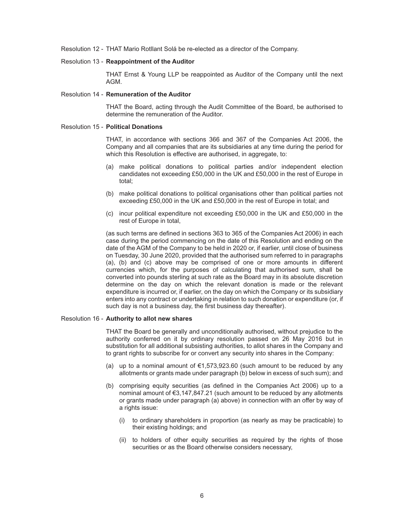Resolution 12 - THAT Mario Rotllant Solá be re-elected as a director of the Company.

## Resolution 13 - **Reappointment of the Auditor**

THAT Ernst & Young LLP be reappointed as Auditor of the Company until the next AGM.

#### Resolution 14 - **Remuneration of the Auditor**

THAT the Board, acting through the Audit Committee of the Board, be authorised to determine the remuneration of the Auditor.

#### Resolution 15 - **Political Donations**

THAT, in accordance with sections 366 and 367 of the Companies Act 2006, the Company and all companies that are its subsidiaries at any time during the period for which this Resolution is effective are authorised, in aggregate, to:

- (a) make political donations to political parties and/or independent election candidates not exceeding £50,000 in the UK and £50,000 in the rest of Europe in total;
- (b) make political donations to political organisations other than political parties not exceeding £50,000 in the UK and £50,000 in the rest of Europe in total; and
- (c) incur political expenditure not exceeding £50,000 in the UK and £50,000 in the rest of Europe in total,

(as such terms are defined in sections 363 to 365 of the Companies Act 2006) in each case during the period commencing on the date of this Resolution and ending on the date of the AGM of the Company to be held in 2020 or, if earlier, until close of business on Tuesday, 30 June 2020, provided that the authorised sum referred to in paragraphs (a), (b) and (c) above may be comprised of one or more amounts in different currencies which, for the purposes of calculating that authorised sum, shall be converted into pounds sterling at such rate as the Board may in its absolute discretion determine on the day on which the relevant donation is made or the relevant expenditure is incurred or, if earlier, on the day on which the Company or its subsidiary enters into any contract or undertaking in relation to such donation or expenditure (or, if such day is not a business day, the first business day thereafter).

#### Resolution 16 - **Authority to allot new shares**

THAT the Board be generally and unconditionally authorised, without prejudice to the authority conferred on it by ordinary resolution passed on 26 May 2016 but in substitution for all additional subsisting authorities, to allot shares in the Company and to grant rights to subscribe for or convert any security into shares in the Company:

- (a) up to a nominal amount of  $\epsilon$ 1,573,923.60 (such amount to be reduced by any allotments or grants made under paragraph (b) below in excess of such sum); and
- (b) comprising equity securities (as defined in the Companies Act 2006) up to a nominal amount of €3,147,847.21 (such amount to be reduced by any allotments or grants made under paragraph (a) above) in connection with an offer by way of a rights issue:
	- (i) to ordinary shareholders in proportion (as nearly as may be practicable) to their existing holdings; and
	- (ii) to holders of other equity securities as required by the rights of those securities or as the Board otherwise considers necessary,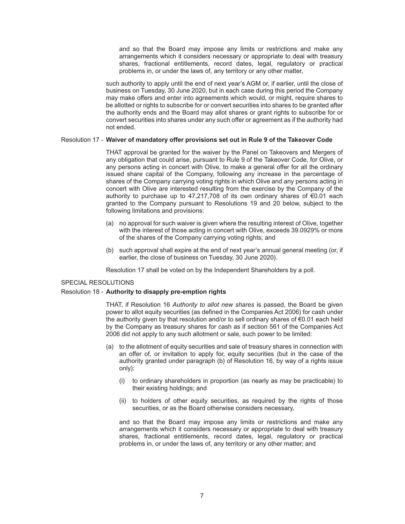and so that the Board may impose any limits or restrictions and make any arrangements which it considers necessary or appropriate to deal with treasury shares, fractional entitlements, record dates, legal, regulatory or practical problems in, or under the laws of, any territory or any other matter,

such authority to apply until the end of next year's AGM or, if earlier, until the close of business on Tuesday, 30 June 2020, but in each case during this period the Company may make offers and enter into agreements which would, or might, require shares to be allotted or rights to subscribe for or convert securities into shares to be granted after the authority ends and the Board may allot shares or grant rights to subscribe for or convert securities into shares under any such offer or agreement as if the authority had not ended.

#### Resolution 17 - **Waiver of mandatory offer provisions set out in Rule 9 of the Takeover Code**

THAT approval be granted for the waiver by the Panel on Takeovers and Mergers of any obligation that could arise, pursuant to Rule 9 of the Takeover Code, for Olive, or any persons acting in concert with Olive, to make a general offer for all the ordinary issued share capital of the Company, following any increase in the percentage of shares of the Company carrying voting rights in which Olive and any persons acting in concert with Olive are interested resulting from the exercise by the Company of the authority to purchase up to 47,217,708 of its own ordinary shares of €0.01 each granted to the Company pursuant to Resolutions 19 and 20 below, subject to the following limitations and provisions:

- (a) no approval for such waiver is given where the resulting interest of Olive, together with the interest of those acting in concert with Olive, exceeds 39.0929% or more of the shares of the Company carrying voting rights; and
- (b) such approval shall expire at the end of next year's annual general meeting (or, if earlier, the close of business on Tuesday, 30 June 2020).

Resolution 17 shall be voted on by the Independent Shareholders by a poll.

#### SPECIAL RESOLUTIONS

#### Resolution 18 - **Authority to disapply pre-emption rights**

THAT, if Resolution 16 *Authority to allot new shares* is passed, the Board be given power to allot equity securities (as defined in the Companies Act 2006) for cash under the authority given by that resolution and/or to sell ordinary shares of €0.01 each held by the Company as treasury shares for cash as if section 561 of the Companies Act 2006 did not apply to any such allotment or sale, such power to be limited:

- (a) to the allotment of equity securities and sale of treasury shares in connection with an offer of, or invitation to apply for, equity securities (but in the case of the authority granted under paragraph (b) of Resolution 16, by way of a rights issue only):
	- (i) to ordinary shareholders in proportion (as nearly as may be practicable) to their existing holdings; and
	- (ii) to holders of other equity securities, as required by the rights of those securities, or as the Board otherwise considers necessary,

and so that the Board may impose any limits or restrictions and make any arrangements which it considers necessary or appropriate to deal with treasury shares, fractional entitlements, record dates, legal, regulatory or practical problems in, or under the laws of, any territory or any other matter; and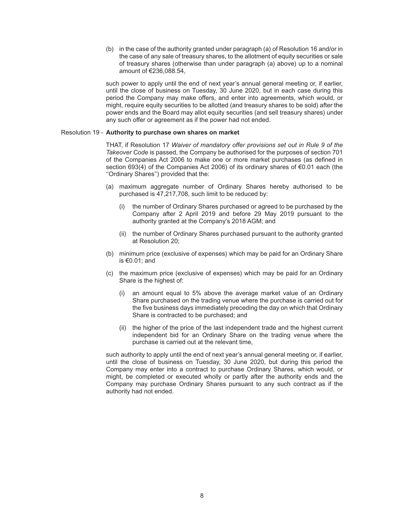(b) in the case of the authority granted under paragraph (a) of Resolution 16 and/or in the case of any sale of treasury shares, to the allotment of equity securities or sale of treasury shares (otherwise than under paragraph (a) above) up to a nominal amount of €236,088.54,

such power to apply until the end of next year's annual general meeting or, if earlier, until the close of business on Tuesday, 30 June 2020, but in each case during this period the Company may make offers, and enter into agreements, which would, or might, require equity securities to be allotted (and treasury shares to be sold) after the power ends and the Board may allot equity securities (and sell treasury shares) under any such offer or agreement as if the power had not ended.

#### Resolution 19 - **Authority to purchase own shares on market**

THAT, if Resolution 17 *Waiver of mandatory offer provisions set out in Rule 9 of the Takeover Code* is passed, the Company be authorised for the purposes of section 701 of the Companies Act 2006 to make one or more market purchases (as defined in section 693(4) of the Companies Act 2006) of its ordinary shares of €0.01 each (the ''Ordinary Shares'') provided that the:

- (a) maximum aggregate number of Ordinary Shares hereby authorised to be purchased is 47,217,708, such limit to be reduced by:
	- (i) the number of Ordinary Shares purchased or agreed to be purchased by the Company after 2 April 2019 and before 29 May 2019 pursuant to the authority granted at the Company's 2018 AGM; and
	- (ii) the number of Ordinary Shares purchased pursuant to the authority granted at Resolution 20;
- (b) minimum price (exclusive of expenses) which may be paid for an Ordinary Share is €0.01; and
- (c) the maximum price (exclusive of expenses) which may be paid for an Ordinary Share is the highest of:
	- (i) an amount equal to 5% above the average market value of an Ordinary Share purchased on the trading venue where the purchase is carried out for the five business days immediately preceding the day on which that Ordinary Share is contracted to be purchased; and
	- (ii) the higher of the price of the last independent trade and the highest current independent bid for an Ordinary Share on the trading venue where the purchase is carried out at the relevant time,

such authority to apply until the end of next year's annual general meeting or, if earlier, until the close of business on Tuesday, 30 June 2020, but during this period the Company may enter into a contract to purchase Ordinary Shares, which would, or might, be completed or executed wholly or partly after the authority ends and the Company may purchase Ordinary Shares pursuant to any such contract as if the authority had not ended.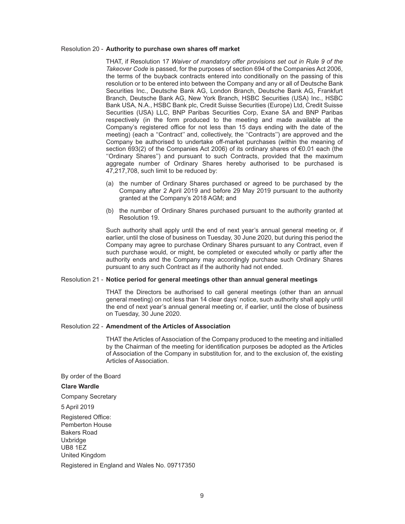#### Resolution 20 - **Authority to purchase own shares off market**

THAT, if Resolution 17 *Waiver of mandatory offer provisions set out in Rule 9 of the Takeover Code* is passed, for the purposes of section 694 of the Companies Act 2006, the terms of the buyback contracts entered into conditionally on the passing of this resolution or to be entered into between the Company and any or all of Deutsche Bank Securities Inc., Deutsche Bank AG, London Branch, Deutsche Bank AG, Frankfurt Branch, Deutsche Bank AG, New York Branch, HSBC Securities (USA) Inc., HSBC Bank USA, N.A., HSBC Bank plc, Credit Suisse Securities (Europe) Ltd, Credit Suisse Securities (USA) LLC, BNP Paribas Securities Corp, Exane SA and BNP Paribas respectively (in the form produced to the meeting and made available at the Company's registered office for not less than 15 days ending with the date of the meeting) (each a ''Contract'' and, collectively, the ''Contracts'') are approved and the Company be authorised to undertake off-market purchases (within the meaning of section 693(2) of the Companies Act 2006) of its ordinary shares of €0.01 each (the ''Ordinary Shares'') and pursuant to such Contracts, provided that the maximum aggregate number of Ordinary Shares hereby authorised to be purchased is 47,217,708, such limit to be reduced by:

- (a) the number of Ordinary Shares purchased or agreed to be purchased by the Company after 2 April 2019 and before 29 May 2019 pursuant to the authority granted at the Company's 2018 AGM; and
- (b) the number of Ordinary Shares purchased pursuant to the authority granted at Resolution 19.

Such authority shall apply until the end of next year's annual general meeting or, if earlier, until the close of business on Tuesday, 30 June 2020, but during this period the Company may agree to purchase Ordinary Shares pursuant to any Contract, even if such purchase would, or might, be completed or executed wholly or partly after the authority ends and the Company may accordingly purchase such Ordinary Shares pursuant to any such Contract as if the authority had not ended.

#### Resolution 21 - **Notice period for general meetings other than annual general meetings**

THAT the Directors be authorised to call general meetings (other than an annual general meeting) on not less than 14 clear days' notice, such authority shall apply until the end of next year's annual general meeting or, if earlier, until the close of business on Tuesday, 30 June 2020.

## Resolution 22 - **Amendment of the Articles of Association**

THAT the Articles of Association of the Company produced to the meeting and initialled by the Chairman of the meeting for identification purposes be adopted as the Articles of Association of the Company in substitution for, and to the exclusion of, the existing Articles of Association.

#### By order of the Board

#### **Clare Wardle**

Company Secretary

5 April 2019

Registered Office: Pemberton House Bakers Road **Uxbridge** UB8 1EZ United Kingdom

Registered in England and Wales No. 09717350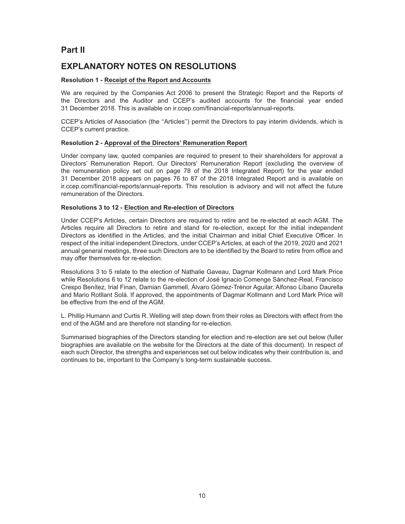# **Part II**

# **EXPLANATORY NOTES ON RESOLUTIONS**

## **Resolution 1 - Receipt of the Report and Accounts**

We are required by the Companies Act 2006 to present the Strategic Report and the Reports of the Directors and the Auditor and CCEP's audited accounts for the financial year ended 31 December 2018. This is available on ir.ccep.com/financial-reports/annual-reports.

CCEP's Articles of Association (the ''Articles'') permit the Directors to pay interim dividends, which is CCEP's current practice.

## **Resolution 2 - Approval of the Directors' Remuneration Report**

Under company law, quoted companies are required to present to their shareholders for approval a Directors' Remuneration Report. Our Directors' Remuneration Report (excluding the overview of the remuneration policy set out on page 78 of the 2018 Integrated Report) for the year ended 31 December 2018 appears on pages 76 to 87 of the 2018 Integrated Report and is available on ir.ccep.com/financial-reports/annual-reports. This resolution is advisory and will not affect the future remuneration of the Directors.

## **Resolutions 3 to 12 - Election and Re-election of Directors**

Under CCEP's Articles, certain Directors are required to retire and be re-elected at each AGM. The Articles require all Directors to retire and stand for re-election, except for the initial independent Directors as identified in the Articles, and the initial Chairman and initial Chief Executive Officer. In respect of the initial independent Directors, under CCEP's Articles, at each of the 2019, 2020 and 2021 annual general meetings, three such Directors are to be identified by the Board to retire from office and may offer themselves for re-election.

Resolutions 3 to 5 relate to the election of Nathalie Gaveau, Dagmar Kollmann and Lord Mark Price while Resolutions 6 to 12 relate to the re-election of José Ignacio Comenge Sánchez-Real, Francisco Crespo Benítez, Irial Finan, Damian Gammell, Álvaro Gómez-Trénor Aguilar, Alfonso Líbano Daurella and Mario Rotllant Solá. If approved, the appointments of Dagmar Kollmann and Lord Mark Price will be effective from the end of the AGM.

L. Phillip Humann and Curtis R. Welling will step down from their roles as Directors with effect from the end of the AGM and are therefore not standing for re-election.

Summarised biographies of the Directors standing for election and re-election are set out below (fuller biographies are available on the website for the Directors at the date of this document). In respect of each such Director, the strengths and experiences set out below indicates why their contribution is, and continues to be, important to the Company's long-term sustainable success.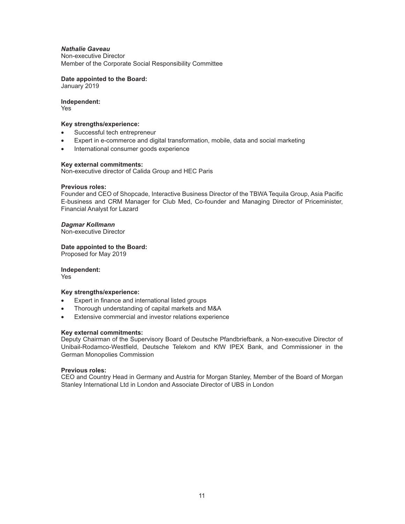## *Nathalie Gaveau*

Non-executive Director Member of the Corporate Social Responsibility Committee

**Date appointed to the Board:**

January 2019

# **Independent:**

Yes

## **Key strengths/experience:**

- Successful tech entrepreneur
- Expert in e-commerce and digital transformation, mobile, data and social marketing
- International consumer goods experience

## **Key external commitments:**

Non-executive director of Calida Group and HEC Paris

## **Previous roles:**

Founder and CEO of Shopcade, Interactive Business Director of the TBWA Tequila Group, Asia Pacific E-business and CRM Manager for Club Med, Co-founder and Managing Director of Priceminister, Financial Analyst for Lazard

*Dagmar Kollmann*

Non-executive Director

**Date appointed to the Board:**

Proposed for May 2019

# **Independent:**

Yes

## **Key strengths/experience:**

- Expert in finance and international listed groups
- Thorough understanding of capital markets and M&A
- Extensive commercial and investor relations experience

## **Key external commitments:**

Deputy Chairman of the Supervisory Board of Deutsche Pfandbriefbank, a Non-executive Director of Unibail-Rodamco-Westfield, Deutsche Telekom and KfW IPEX Bank, and Commissioner in the German Monopolies Commission

## **Previous roles:**

CEO and Country Head in Germany and Austria for Morgan Stanley, Member of the Board of Morgan Stanley International Ltd in London and Associate Director of UBS in London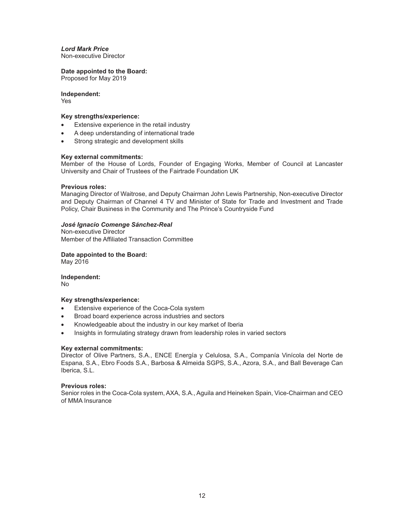# *Lord Mark Price*

Non-executive Director

## **Date appointed to the Board:**

Proposed for May 2019

## **Independent:**

Yes

## **Key strengths/experience:**

- Extensive experience in the retail industry
- A deep understanding of international trade
- Strong strategic and development skills

## **Key external commitments:**

Member of the House of Lords, Founder of Engaging Works, Member of Council at Lancaster University and Chair of Trustees of the Fairtrade Foundation UK

#### **Previous roles:**

Managing Director of Waitrose, and Deputy Chairman John Lewis Partnership, Non-executive Director and Deputy Chairman of Channel 4 TV and Minister of State for Trade and Investment and Trade Policy, Chair Business in the Community and The Prince's Countryside Fund

## *José Ignacio Comenge Sánchez-Real*

Non-executive Director Member of the Affiliated Transaction Committee

**Date appointed to the Board:** May 2016

**Independent:** No

#### **Key strengths/experience:**

- Extensive experience of the Coca-Cola system
- Broad board experience across industries and sectors
- Knowledgeable about the industry in our key market of Iberia
- Insights in formulating strategy drawn from leadership roles in varied sectors

#### **Key external commitments:**

Director of Olive Partners, S.A., ENCE Energía y Celulosa, S.A., Companía Vinícola del Norte de Espana, S.A., Ebro Foods S.A., Barbosa & Almeida SGPS, S.A., Azora, S.A., and Ball Beverage Can Iberica, S.L.

#### **Previous roles:**

Senior roles in the Coca-Cola system, AXA, S.A., Aguila and Heineken Spain, Vice-Chairman and CEO of MMA Insurance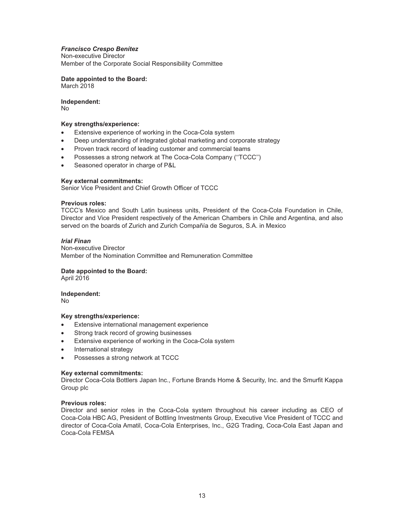## *Francisco Crespo Benítez*

Non-executive Director Member of the Corporate Social Responsibility Committee

**Date appointed to the Board:** March 2018

**Independent:** No

## **Key strengths/experience:**

- Extensive experience of working in the Coca-Cola system
- Deep understanding of integrated global marketing and corporate strategy
- Proven track record of leading customer and commercial teams
- Possesses a strong network at The Coca-Cola Company (''TCCC'')
- Seasoned operator in charge of P&L

#### **Key external commitments:**

Senior Vice President and Chief Growth Officer of TCCC

#### **Previous roles:**

TCCC's Mexico and South Latin business units, President of the Coca-Cola Foundation in Chile, Director and Vice President respectively of the American Chambers in Chile and Argentina, and also served on the boards of Zurich and Zurich Compañía de Seguros, S.A. in Mexico

## *Irial Finan*

Non-executive Director Member of the Nomination Committee and Remuneration Committee

## **Date appointed to the Board:**

April 2016

#### **Independent:**

No

#### **Key strengths/experience:**

- Extensive international management experience
- Strong track record of growing businesses
- Extensive experience of working in the Coca-Cola system
- International strategy
- Possesses a strong network at TCCC

#### **Key external commitments:**

Director Coca-Cola Bottlers Japan Inc., Fortune Brands Home & Security, Inc. and the Smurfit Kappa Group plc

#### **Previous roles:**

Director and senior roles in the Coca-Cola system throughout his career including as CEO of Coca-Cola HBC AG, President of Bottling Investments Group, Executive Vice President of TCCC and director of Coca-Cola Amatil, Coca-Cola Enterprises, Inc., G2G Trading, Coca-Cola East Japan and Coca-Cola FEMSA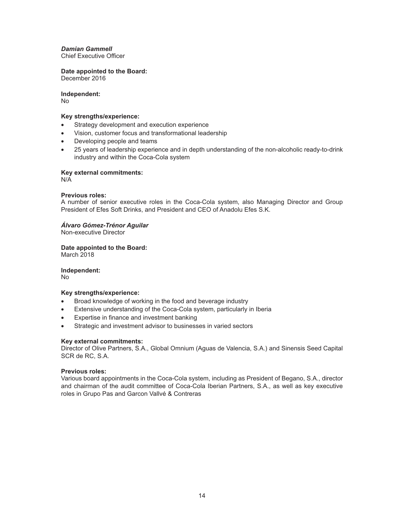*Damian Gammell* Chief Executive Officer

**Date appointed to the Board:** December 2016

**Independent:**

No

## **Key strengths/experience:**

- Strategy development and execution experience
- Vision, customer focus and transformational leadership
- Developing people and teams
- 25 years of leadership experience and in depth understanding of the non-alcoholic ready-to-drink industry and within the Coca-Cola system

**Key external commitments:**

N/A

## **Previous roles:**

A number of senior executive roles in the Coca-Cola system, also Managing Director and Group President of Efes Soft Drinks, and President and CEO of Anadolu Efes S.K.

## *Álvaro Gómez-Trénor Aguilar*

Non-executive Director

**Date appointed to the Board:** March 2018

**Independent:**

No

## **Key strengths/experience:**

- Broad knowledge of working in the food and beverage industry
- Extensive understanding of the Coca-Cola system, particularly in Iberia
- Expertise in finance and investment banking
- Strategic and investment advisor to businesses in varied sectors

## **Key external commitments:**

Director of Olive Partners, S.A., Global Omnium (Aguas de Valencia, S.A.) and Sinensis Seed Capital SCR de RC, S.A.

## **Previous roles:**

Various board appointments in the Coca-Cola system, including as President of Begano, S.A., director and chairman of the audit committee of Coca-Cola Iberian Partners, S.A., as well as key executive roles in Grupo Pas and Garcon Vallvé & Contreras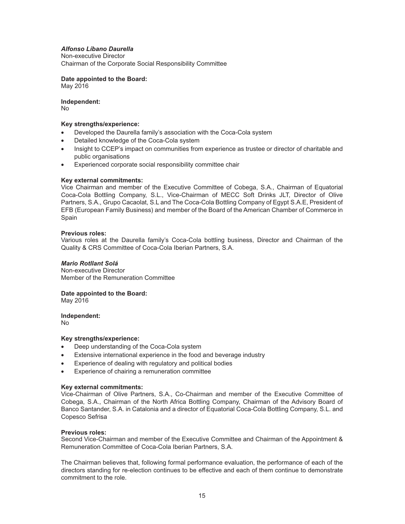## *Alfonso Líbano Daurella*

Non-executive Director

Chairman of the Corporate Social Responsibility Committee

**Date appointed to the Board:** May 2016

**Independent:** No

## **Key strengths/experience:**

- Developed the Daurella family's association with the Coca-Cola system
- Detailed knowledge of the Coca-Cola system
- Insight to CCEP's impact on communities from experience as trustee or director of charitable and public organisations
- Experienced corporate social responsibility committee chair

## **Key external commitments:**

Vice Chairman and member of the Executive Committee of Cobega, S.A., Chairman of Equatorial Coca-Cola Bottling Company, S.L., Vice-Chairman of MECC Soft Drinks JLT, Director of Olive Partners, S.A., Grupo Cacaolat, S.L and The Coca-Cola Bottling Company of Egypt S.A.E, President of EFB (European Family Business) and member of the Board of the American Chamber of Commerce in Spain

#### **Previous roles:**

Various roles at the Daurella family's Coca-Cola bottling business, Director and Chairman of the Quality & CRS Committee of Coca-Cola Iberian Partners, S.A.

## *Mario Rotllant Solá*

Non-executive Director Member of the Remuneration Committee

## **Date appointed to the Board:**

May 2016

**Independent:** No

# **Key strengths/experience:**

- Deep understanding of the Coca-Cola system
- Extensive international experience in the food and beverage industry
- Experience of dealing with regulatory and political bodies
- Experience of chairing a remuneration committee

#### **Key external commitments:**

Vice-Chairman of Olive Partners, S.A., Co-Chairman and member of the Executive Committee of Cobega, S.A., Chairman of the North Africa Bottling Company, Chairman of the Advisory Board of Banco Santander, S.A. in Catalonia and a director of Equatorial Coca-Cola Bottling Company, S.L. and Copesco Sefrisa

#### **Previous roles:**

Second Vice-Chairman and member of the Executive Committee and Chairman of the Appointment & Remuneration Committee of Coca-Cola Iberian Partners, S.A.

The Chairman believes that, following formal performance evaluation, the performance of each of the directors standing for re-election continues to be effective and each of them continue to demonstrate commitment to the role.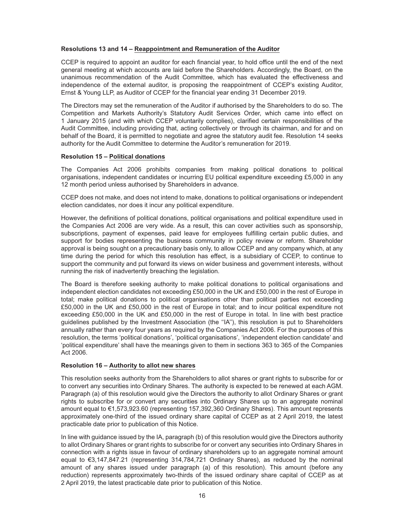## **Resolutions 13 and 14 – Reappointment and Remuneration of the Auditor**

CCEP is required to appoint an auditor for each financial year, to hold office until the end of the next general meeting at which accounts are laid before the Shareholders. Accordingly, the Board, on the unanimous recommendation of the Audit Committee, which has evaluated the effectiveness and independence of the external auditor, is proposing the reappointment of CCEP's existing Auditor, Ernst & Young LLP, as Auditor of CCEP for the financial year ending 31 December 2019.

The Directors may set the remuneration of the Auditor if authorised by the Shareholders to do so. The Competition and Markets Authority's Statutory Audit Services Order, which came into effect on 1 January 2015 (and with which CCEP voluntarily complies), clarified certain responsibilities of the Audit Committee, including providing that, acting collectively or through its chairman, and for and on behalf of the Board, it is permitted to negotiate and agree the statutory audit fee. Resolution 14 seeks authority for the Audit Committee to determine the Auditor's remuneration for 2019.

#### **Resolution 15 – Political donations**

The Companies Act 2006 prohibits companies from making political donations to political organisations, independent candidates or incurring EU political expenditure exceeding £5,000 in any 12 month period unless authorised by Shareholders in advance.

CCEP does not make, and does not intend to make, donations to political organisations or independent election candidates, nor does it incur any political expenditure.

However, the definitions of political donations, political organisations and political expenditure used in the Companies Act 2006 are very wide. As a result, this can cover activities such as sponsorship, subscriptions, payment of expenses, paid leave for employees fulfilling certain public duties, and support for bodies representing the business community in policy review or reform. Shareholder approval is being sought on a precautionary basis only, to allow CCEP and any company which, at any time during the period for which this resolution has effect, is a subsidiary of CCEP, to continue to support the community and put forward its views on wider business and government interests, without running the risk of inadvertently breaching the legislation.

The Board is therefore seeking authority to make political donations to political organisations and independent election candidates not exceeding £50,000 in the UK and £50,000 in the rest of Europe in total; make political donations to political organisations other than political parties not exceeding £50,000 in the UK and £50,000 in the rest of Europe in total; and to incur political expenditure not exceeding £50,000 in the UK and £50,000 in the rest of Europe in total. In line with best practice guidelines published by the Investment Association (the ''IA''), this resolution is put to Shareholders annually rather than every four years as required by the Companies Act 2006. For the purposes of this resolution, the terms 'political donations', 'political organisations', 'independent election candidate' and 'political expenditure' shall have the meanings given to them in sections 363 to 365 of the Companies Act 2006.

#### **Resolution 16 – Authority to allot new shares**

This resolution seeks authority from the Shareholders to allot shares or grant rights to subscribe for or to convert any securities into Ordinary Shares. The authority is expected to be renewed at each AGM. Paragraph (a) of this resolution would give the Directors the authority to allot Ordinary Shares or grant rights to subscribe for or convert any securities into Ordinary Shares up to an aggregate nominal amount equal to €1,573,923.60 (representing 157,392,360 Ordinary Shares). This amount represents approximately one-third of the issued ordinary share capital of CCEP as at 2 April 2019, the latest practicable date prior to publication of this Notice.

In line with guidance issued by the IA, paragraph (b) of this resolution would give the Directors authority to allot Ordinary Shares or grant rights to subscribe for or convert any securities into Ordinary Shares in connection with a rights issue in favour of ordinary shareholders up to an aggregate nominal amount equal to €3,147,847.21 (representing 314,784,721 Ordinary Shares), as reduced by the nominal amount of any shares issued under paragraph (a) of this resolution). This amount (before any reduction) represents approximately two-thirds of the issued ordinary share capital of CCEP as at 2 April 2019, the latest practicable date prior to publication of this Notice.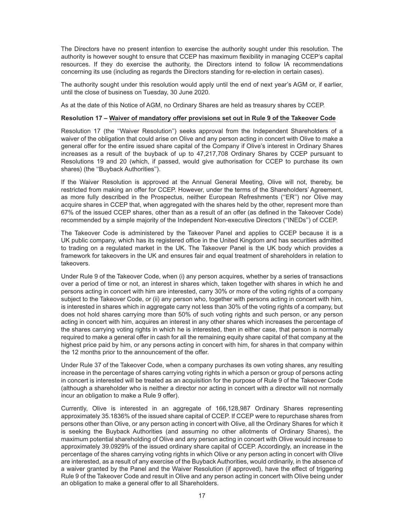The Directors have no present intention to exercise the authority sought under this resolution. The authority is however sought to ensure that CCEP has maximum flexibility in managing CCEP's capital resources. If they do exercise the authority, the Directors intend to follow IA recommendations concerning its use (including as regards the Directors standing for re-election in certain cases).

The authority sought under this resolution would apply until the end of next year's AGM or, if earlier, until the close of business on Tuesday, 30 June 2020.

As at the date of this Notice of AGM, no Ordinary Shares are held as treasury shares by CCEP.

## **Resolution 17 – Waiver of mandatory offer provisions set out in Rule 9 of the Takeover Code**

Resolution 17 (the ''Waiver Resolution'') seeks approval from the Independent Shareholders of a waiver of the obligation that could arise on Olive and any person acting in concert with Olive to make a general offer for the entire issued share capital of the Company if Olive's interest in Ordinary Shares increases as a result of the buyback of up to 47,217,708 Ordinary Shares by CCEP pursuant to Resolutions 19 and 20 (which, if passed, would give authorisation for CCEP to purchase its own shares) (the "Buyback Authorities").

If the Waiver Resolution is approved at the Annual General Meeting, Olive will not, thereby, be restricted from making an offer for CCEP. However, under the terms of the Shareholders' Agreement, as more fully described in the Prospectus, neither European Refreshments (''ER'') nor Olive may acquire shares in CCEP that, when aggregated with the shares held by the other, represent more than 67% of the issued CCEP shares, other than as a result of an offer (as defined in the Takeover Code) recommended by a simple majority of the Independent Non-executive Directors (''INEDs'') of CCEP.

The Takeover Code is administered by the Takeover Panel and applies to CCEP because it is a UK public company, which has its registered office in the United Kingdom and has securities admitted to trading on a regulated market in the UK. The Takeover Panel is the UK body which provides a framework for takeovers in the UK and ensures fair and equal treatment of shareholders in relation to takeovers.

Under Rule 9 of the Takeover Code, when (i) any person acquires, whether by a series of transactions over a period of time or not, an interest in shares which, taken together with shares in which he and persons acting in concert with him are interested, carry 30% or more of the voting rights of a company subject to the Takeover Code, or (ii) any person who, together with persons acting in concert with him, is interested in shares which in aggregate carry not less than 30% of the voting rights of a company, but does not hold shares carrying more than 50% of such voting rights and such person, or any person acting in concert with him, acquires an interest in any other shares which increases the percentage of the shares carrying voting rights in which he is interested, then in either case, that person is normally required to make a general offer in cash for all the remaining equity share capital of that company at the highest price paid by him, or any persons acting in concert with him, for shares in that company within the 12 months prior to the announcement of the offer.

Under Rule 37 of the Takeover Code, when a company purchases its own voting shares, any resulting increase in the percentage of shares carrying voting rights in which a person or group of persons acting in concert is interested will be treated as an acquisition for the purpose of Rule 9 of the Takeover Code (although a shareholder who is neither a director nor acting in concert with a director will not normally incur an obligation to make a Rule 9 offer).

Currently, Olive is interested in an aggregate of 166,128,987 Ordinary Shares representing approximately 35.1836% of the issued share capital of CCEP. If CCEP were to repurchase shares from persons other than Olive, or any person acting in concert with Olive, all the Ordinary Shares for which it is seeking the Buyback Authorities (and assuming no other allotments of Ordinary Shares), the maximum potential shareholding of Olive and any person acting in concert with Olive would increase to approximately 39.0929% of the issued ordinary share capital of CCEP. Accordingly, an increase in the percentage of the shares carrying voting rights in which Olive or any person acting in concert with Olive are interested, as a result of any exercise of the Buyback Authorities, would ordinarily, in the absence of a waiver granted by the Panel and the Waiver Resolution (if approved), have the effect of triggering Rule 9 of the Takeover Code and result in Olive and any person acting in concert with Olive being under an obligation to make a general offer to all Shareholders.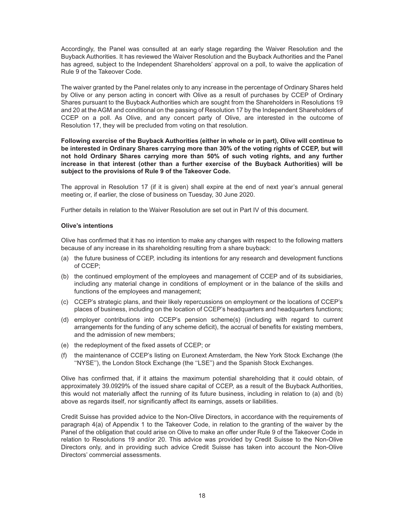Accordingly, the Panel was consulted at an early stage regarding the Waiver Resolution and the Buyback Authorities. It has reviewed the Waiver Resolution and the Buyback Authorities and the Panel has agreed, subject to the Independent Shareholders' approval on a poll, to waive the application of Rule 9 of the Takeover Code.

The waiver granted by the Panel relates only to any increase in the percentage of Ordinary Shares held by Olive or any person acting in concert with Olive as a result of purchases by CCEP of Ordinary Shares pursuant to the Buyback Authorities which are sought from the Shareholders in Resolutions 19 and 20 at the AGM and conditional on the passing of Resolution 17 by the Independent Shareholders of CCEP on a poll. As Olive, and any concert party of Olive, are interested in the outcome of Resolution 17, they will be precluded from voting on that resolution.

**Following exercise of the Buyback Authorities (either in whole or in part), Olive will continue to be interested in Ordinary Shares carrying more than 30% of the voting rights of CCEP, but will not hold Ordinary Shares carrying more than 50% of such voting rights, and any further increase in that interest (other than a further exercise of the Buyback Authorities) will be subject to the provisions of Rule 9 of the Takeover Code.**

The approval in Resolution 17 (if it is given) shall expire at the end of next year's annual general meeting or, if earlier, the close of business on Tuesday, 30 June 2020.

Further details in relation to the Waiver Resolution are set out in Part IV of this document.

## **Olive's intentions**

Olive has confirmed that it has no intention to make any changes with respect to the following matters because of any increase in its shareholding resulting from a share buyback:

- (a) the future business of CCEP, including its intentions for any research and development functions of CCEP;
- (b) the continued employment of the employees and management of CCEP and of its subsidiaries, including any material change in conditions of employment or in the balance of the skills and functions of the employees and management;
- (c) CCEP's strategic plans, and their likely repercussions on employment or the locations of CCEP's places of business, including on the location of CCEP's headquarters and headquarters functions;
- (d) employer contributions into CCEP's pension scheme(s) (including with regard to current arrangements for the funding of any scheme deficit), the accrual of benefits for existing members, and the admission of new members;
- (e) the redeployment of the fixed assets of CCEP; or
- (f) the maintenance of CCEP's listing on Euronext Amsterdam, the New York Stock Exchange (the ''NYSE''), the London Stock Exchange (the ''LSE'') and the Spanish Stock Exchanges.

Olive has confirmed that, if it attains the maximum potential shareholding that it could obtain, of approximately 39.0929% of the issued share capital of CCEP, as a result of the Buyback Authorities, this would not materially affect the running of its future business, including in relation to (a) and (b) above as regards itself, nor significantly affect its earnings, assets or liabilities.

Credit Suisse has provided advice to the Non-Olive Directors, in accordance with the requirements of paragraph 4(a) of Appendix 1 to the Takeover Code, in relation to the granting of the waiver by the Panel of the obligation that could arise on Olive to make an offer under Rule 9 of the Takeover Code in relation to Resolutions 19 and/or 20. This advice was provided by Credit Suisse to the Non-Olive Directors only, and in providing such advice Credit Suisse has taken into account the Non-Olive Directors' commercial assessments.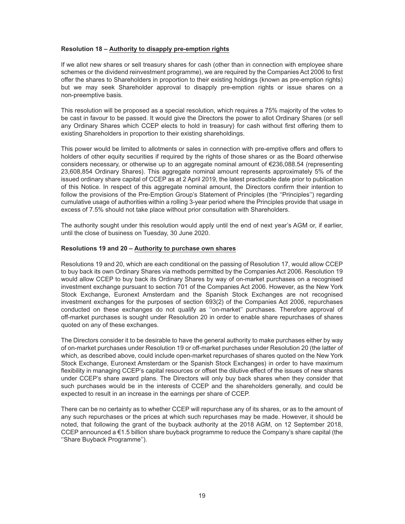## **Resolution 18 – Authority to disapply pre-emption rights**

If we allot new shares or sell treasury shares for cash (other than in connection with employee share schemes or the dividend reinvestment programme), we are required by the Companies Act 2006 to first offer the shares to Shareholders in proportion to their existing holdings (known as pre-emption rights) but we may seek Shareholder approval to disapply pre-emption rights or issue shares on a non-preemptive basis.

This resolution will be proposed as a special resolution, which requires a 75% majority of the votes to be cast in favour to be passed. It would give the Directors the power to allot Ordinary Shares (or sell any Ordinary Shares which CCEP elects to hold in treasury) for cash without first offering them to existing Shareholders in proportion to their existing shareholdings.

This power would be limited to allotments or sales in connection with pre-emptive offers and offers to holders of other equity securities if required by the rights of those shares or as the Board otherwise considers necessary, or otherwise up to an aggregate nominal amount of €236,088.54 (representing 23,608,854 Ordinary Shares). This aggregate nominal amount represents approximately 5% of the issued ordinary share capital of CCEP as at 2 April 2019, the latest practicable date prior to publication of this Notice. In respect of this aggregate nominal amount, the Directors confirm their intention to follow the provisions of the Pre-Emption Group's Statement of Principles (the "Principles") regarding cumulative usage of authorities within a rolling 3-year period where the Principles provide that usage in excess of 7.5% should not take place without prior consultation with Shareholders.

The authority sought under this resolution would apply until the end of next year's AGM or, if earlier, until the close of business on Tuesday, 30 June 2020.

#### **Resolutions 19 and 20 – Authority to purchase own shares**

Resolutions 19 and 20, which are each conditional on the passing of Resolution 17, would allow CCEP to buy back its own Ordinary Shares via methods permitted by the Companies Act 2006. Resolution 19 would allow CCEP to buy back its Ordinary Shares by way of on-market purchases on a recognised investment exchange pursuant to section 701 of the Companies Act 2006. However, as the New York Stock Exchange, Euronext Amsterdam and the Spanish Stock Exchanges are not recognised investment exchanges for the purposes of section 693(2) of the Companies Act 2006, repurchases conducted on these exchanges do not qualify as ''on-market'' purchases. Therefore approval of off-market purchases is sought under Resolution 20 in order to enable share repurchases of shares quoted on any of these exchanges.

The Directors consider it to be desirable to have the general authority to make purchases either by way of on-market purchases under Resolution 19 or off-market purchases under Resolution 20 (the latter of which, as described above, could include open-market repurchases of shares quoted on the New York Stock Exchange, Euronext Amsterdam or the Spanish Stock Exchanges) in order to have maximum flexibility in managing CCEP's capital resources or offset the dilutive effect of the issues of new shares under CCEP's share award plans. The Directors will only buy back shares when they consider that such purchases would be in the interests of CCEP and the shareholders generally, and could be expected to result in an increase in the earnings per share of CCEP.

There can be no certainty as to whether CCEP will repurchase any of its shares, or as to the amount of any such repurchases or the prices at which such repurchases may be made. However, it should be noted, that following the grant of the buyback authority at the 2018 AGM, on 12 September 2018, CCEP announced a €1.5 billion share buyback programme to reduce the Company's share capital (the ''Share Buyback Programme'').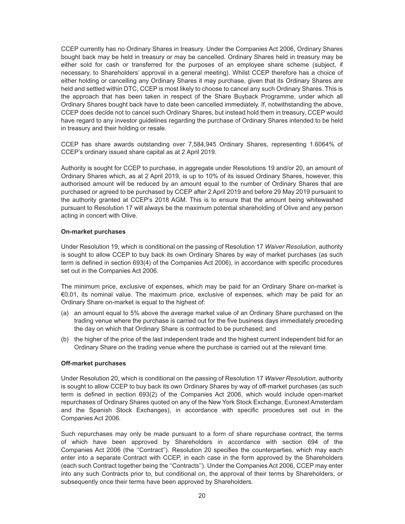CCEP currently has no Ordinary Shares in treasury. Under the Companies Act 2006, Ordinary Shares bought back may be held in treasury or may be cancelled. Ordinary Shares held in treasury may be either sold for cash or transferred for the purposes of an employee share scheme (subject, if necessary, to Shareholders' approval in a general meeting). Whilst CCEP therefore has a choice of either holding or cancelling any Ordinary Shares it may purchase, given that its Ordinary Shares are held and settled within DTC, CCEP is most likely to choose to cancel any such Ordinary Shares. This is the approach that has been taken in respect of the Share Buyback Programme, under which all Ordinary Shares bought back have to date been cancelled immediately. If, notwithstanding the above, CCEP does decide not to cancel such Ordinary Shares, but instead hold them in treasury, CCEP would have regard to any investor guidelines regarding the purchase of Ordinary Shares intended to be held in treasury and their holding or resale.

CCEP has share awards outstanding over 7,584,945 Ordinary Shares, representing 1.6064% of CCEP's ordinary issued share capital as at 2 April 2019.

Authority is sought for CCEP to purchase, in aggregate under Resolutions 19 and/or 20, an amount of Ordinary Shares which, as at 2 April 2019, is up to 10% of its issued Ordinary Shares, however, this authorised amount will be reduced by an amount equal to the number of Ordinary Shares that are purchased or agreed to be purchased by CCEP after 2 April 2019 and before 29 May 2019 pursuant to the authority granted at CCEP's 2018 AGM. This is to ensure that the amount being whitewashed pursuant to Resolution 17 will always be the maximum potential shareholding of Olive and any person acting in concert with Olive.

## **On-market purchases**

Under Resolution 19, which is conditional on the passing of Resolution 17 *Waiver Resolution*, authority is sought to allow CCEP to buy back its own Ordinary Shares by way of market purchases (as such term is defined in section 693(4) of the Companies Act 2006), in accordance with specific procedures set out in the Companies Act 2006.

The minimum price, exclusive of expenses, which may be paid for an Ordinary Share on-market is €0.01, its nominal value. The maximum price, exclusive of expenses, which may be paid for an Ordinary Share on-market is equal to the highest of:

- (a) an amount equal to 5% above the average market value of an Ordinary Share purchased on the trading venue where the purchase is carried out for the five business days immediately preceding the day on which that Ordinary Share is contracted to be purchased; and
- (b) the higher of the price of the last independent trade and the highest current independent bid for an Ordinary Share on the trading venue where the purchase is carried out at the relevant time.

#### **Off-market purchases**

Under Resolution 20, which is conditional on the passing of Resolution 17 *Waiver Resolution*, authority is sought to allow CCEP to buy back its own Ordinary Shares by way of off-market purchases (as such term is defined in section 693(2) of the Companies Act 2006, which would include open-market repurchases of Ordinary Shares quoted on any of the New York Stock Exchange, Euronext Amsterdam and the Spanish Stock Exchanges), in accordance with specific procedures set out in the Companies Act 2006.

Such repurchases may only be made pursuant to a form of share repurchase contract, the terms of which have been approved by Shareholders in accordance with section 694 of the Companies Act 2006 (the ''Contract''). Resolution 20 specifies the counterparties, which may each enter into a separate Contract with CCEP, in each case in the form approved by the Shareholders (each such Contract together being the ''Contracts''). Under the Companies Act 2006, CCEP may enter into any such Contracts prior to, but conditional on, the approval of their terms by Shareholders, or subsequently once their terms have been approved by Shareholders.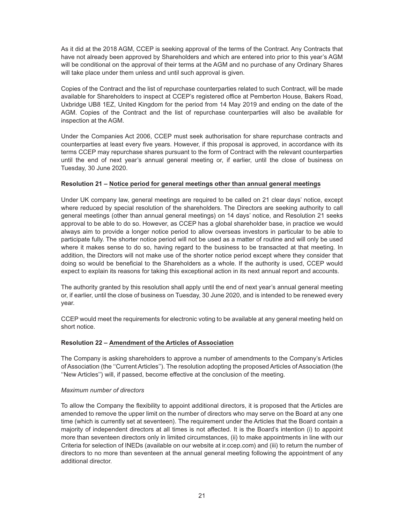As it did at the 2018 AGM, CCEP is seeking approval of the terms of the Contract. Any Contracts that have not already been approved by Shareholders and which are entered into prior to this year's AGM will be conditional on the approval of their terms at the AGM and no purchase of any Ordinary Shares will take place under them unless and until such approval is given.

Copies of the Contract and the list of repurchase counterparties related to such Contract, will be made available for Shareholders to inspect at CCEP's registered office at Pemberton House, Bakers Road, Uxbridge UB8 1EZ, United Kingdom for the period from 14 May 2019 and ending on the date of the AGM. Copies of the Contract and the list of repurchase counterparties will also be available for inspection at the AGM.

Under the Companies Act 2006, CCEP must seek authorisation for share repurchase contracts and counterparties at least every five years. However, if this proposal is approved, in accordance with its terms CCEP may repurchase shares pursuant to the form of Contract with the relevant counterparties until the end of next year's annual general meeting or, if earlier, until the close of business on Tuesday, 30 June 2020.

## **Resolution 21 – Notice period for general meetings other than annual general meetings**

Under UK company law, general meetings are required to be called on 21 clear days' notice, except where reduced by special resolution of the shareholders. The Directors are seeking authority to call general meetings (other than annual general meetings) on 14 days' notice, and Resolution 21 seeks approval to be able to do so. However, as CCEP has a global shareholder base, in practice we would always aim to provide a longer notice period to allow overseas investors in particular to be able to participate fully. The shorter notice period will not be used as a matter of routine and will only be used where it makes sense to do so, having regard to the business to be transacted at that meeting. In addition, the Directors will not make use of the shorter notice period except where they consider that doing so would be beneficial to the Shareholders as a whole. If the authority is used, CCEP would expect to explain its reasons for taking this exceptional action in its next annual report and accounts.

The authority granted by this resolution shall apply until the end of next year's annual general meeting or, if earlier, until the close of business on Tuesday, 30 June 2020, and is intended to be renewed every year.

CCEP would meet the requirements for electronic voting to be available at any general meeting held on short notice.

## **Resolution 22 – Amendment of the Articles of Association**

The Company is asking shareholders to approve a number of amendments to the Company's Articles of Association (the ''Current Articles''). The resolution adopting the proposed Articles of Association (the ''New Articles'') will, if passed, become effective at the conclusion of the meeting.

## *Maximum number of directors*

To allow the Company the flexibility to appoint additional directors, it is proposed that the Articles are amended to remove the upper limit on the number of directors who may serve on the Board at any one time (which is currently set at seventeen). The requirement under the Articles that the Board contain a majority of independent directors at all times is not affected. It is the Board's intention (i) to appoint more than seventeen directors only in limited circumstances, (ii) to make appointments in line with our Criteria for selection of INEDs (available on our website at ir.ccep.com) and (iii) to return the number of directors to no more than seventeen at the annual general meeting following the appointment of any additional director.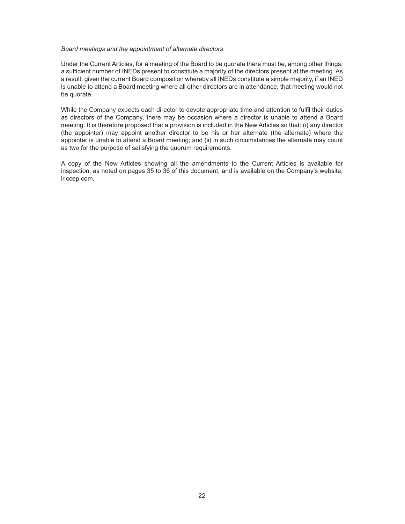#### *Board meetings and the appointment of alternate directors*

Under the Current Articles, for a meeting of the Board to be quorate there must be, among other things, a sufficient number of INEDs present to constitute a majority of the directors present at the meeting. As a result, given the current Board composition whereby all INEDs constitute a simple majority, if an INED is unable to attend a Board meeting where all other directors are in attendance, that meeting would not be quorate.

While the Company expects each director to devote appropriate time and attention to fulfil their duties as directors of the Company, there may be occasion where a director is unable to attend a Board meeting. It is therefore proposed that a provision is included in the New Articles so that: (i) any director (the appointer) may appoint another director to be his or her alternate (the alternate) where the appointer is unable to attend a Board meeting; and (ii) in such circumstances the alternate may count as two for the purpose of satisfying the quorum requirements.

A copy of the New Articles showing all the amendments to the Current Articles is available for inspection, as noted on pages 35 to 36 of this document, and is available on the Company's website, ir.ccep.com.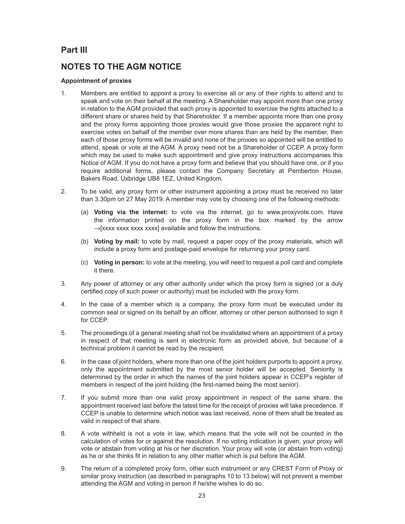# **Part III**

# **NOTES TO THE AGM NOTICE**

# **Appointment of proxies**

- 1. Members are entitled to appoint a proxy to exercise all or any of their rights to attend and to speak and vote on their behalf at the meeting. A Shareholder may appoint more than one proxy in relation to the AGM provided that each proxy is appointed to exercise the rights attached to a different share or shares held by that Shareholder. If a member appoints more than one proxy and the proxy forms appointing those proxies would give those proxies the apparent right to exercise votes on behalf of the member over more shares than are held by the member, then each of those proxy forms will be invalid and none of the proxies so appointed will be entitled to attend, speak or vote at the AGM. A proxy need not be a Shareholder of CCEP. A proxy form which may be used to make such appointment and give proxy instructions accompanies this Notice of AGM. If you do not have a proxy form and believe that you should have one, or if you require additional forms, please contact the Company Secretary at Pemberton House, Bakers Road, Uxbridge UB8 1EZ, United Kingdom.
- 2. To be valid, any proxy form or other instrument appointing a proxy must be received no later than 3.30pm on 27 May 2019. A member may vote by choosing one of the following methods:
	- (a) **Voting via the internet:** to vote via the internet, go to www.proxyvote.com. Have the information printed on the proxy form in the box marked by the arrow  $\rightarrow$ [xxxx xxxx xxxx] available and follow the instructions.
	- (b) **Voting by mail:** to vote by mail, request a paper copy of the proxy materials, which will include a proxy form and postage-paid envelope for returning your proxy card.
	- (c) **Voting in person:** to vote at the meeting, you will need to request a poll card and complete it there.
- 3. Any power of attorney or any other authority under which the proxy form is signed (or a duly certified copy of such power or authority) must be included with the proxy form.
- 4. In the case of a member which is a company, the proxy form must be executed under its common seal or signed on its behalf by an officer, attorney or other person authorised to sign it for CCEP.
- 5. The proceedings of a general meeting shall not be invalidated where an appointment of a proxy in respect of that meeting is sent in electronic form as provided above, but because of a technical problem it cannot be read by the recipient.
- 6. In the case of joint holders, where more than one of the joint holders purports to appoint a proxy, only the appointment submitted by the most senior holder will be accepted. Seniority is determined by the order in which the names of the joint holders appear in CCEP's register of members in respect of the joint holding (the first-named being the most senior).
- 7. If you submit more than one valid proxy appointment in respect of the same share, the appointment received last before the latest time for the receipt of proxies will take precedence. If CCEP is unable to determine which notice was last received, none of them shall be treated as valid in respect of that share.
- 8. A vote withheld is not a vote in law, which means that the vote will not be counted in the calculation of votes for or against the resolution. If no voting indication is given, your proxy will vote or abstain from voting at his or her discretion. Your proxy will vote (or abstain from voting) as he or she thinks fit in relation to any other matter which is put before the AGM.
- 9. The return of a completed proxy form, other such instrument or any CREST Form of Proxy or similar proxy instruction (as described in paragraphs 10 to 13 below) will not prevent a member attending the AGM and voting in person if he/she wishes to do so.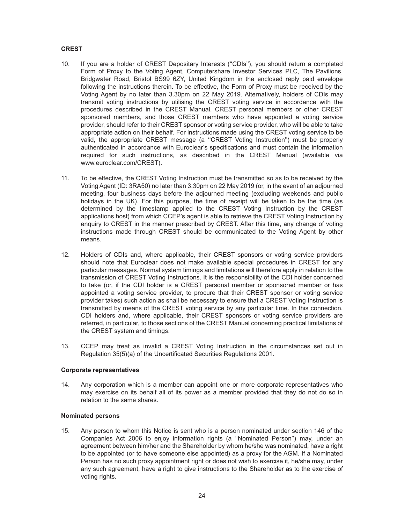## **CREST**

- 10. If you are a holder of CREST Depositary Interests (''CDIs''), you should return a completed Form of Proxy to the Voting Agent, Computershare Investor Services PLC, The Pavilions, Bridgwater Road, Bristol BS99 6ZY, United Kingdom in the enclosed reply paid envelope following the instructions therein. To be effective, the Form of Proxy must be received by the Voting Agent by no later than 3.30pm on 22 May 2019. Alternatively, holders of CDIs may transmit voting instructions by utilising the CREST voting service in accordance with the procedures described in the CREST Manual. CREST personal members or other CREST sponsored members, and those CREST members who have appointed a voting service provider, should refer to their CREST sponsor or voting service provider, who will be able to take appropriate action on their behalf. For instructions made using the CREST voting service to be valid, the appropriate CREST message (a ''CREST Voting Instruction'') must be properly authenticated in accordance with Euroclear's specifications and must contain the information required for such instructions, as described in the CREST Manual (available via www.euroclear.com/CREST).
- 11. To be effective, the CREST Voting Instruction must be transmitted so as to be received by the Voting Agent (ID: 3RA50) no later than 3.30pm on 22 May 2019 (or, in the event of an adjourned meeting, four business days before the adjourned meeting (excluding weekends and public holidays in the UK). For this purpose, the time of receipt will be taken to be the time (as determined by the timestamp applied to the CREST Voting Instruction by the CREST applications host) from which CCEP's agent is able to retrieve the CREST Voting Instruction by enquiry to CREST in the manner prescribed by CREST. After this time, any change of voting instructions made through CREST should be communicated to the Voting Agent by other means.
- 12. Holders of CDIs and, where applicable, their CREST sponsors or voting service providers should note that Euroclear does not make available special procedures in CREST for any particular messages. Normal system timings and limitations will therefore apply in relation to the transmission of CREST Voting Instructions. It is the responsibility of the CDI holder concerned to take (or, if the CDI holder is a CREST personal member or sponsored member or has appointed a voting service provider, to procure that their CREST sponsor or voting service provider takes) such action as shall be necessary to ensure that a CREST Voting Instruction is transmitted by means of the CREST voting service by any particular time. In this connection, CDI holders and, where applicable, their CREST sponsors or voting service providers are referred, in particular, to those sections of the CREST Manual concerning practical limitations of the CREST system and timings.
- 13. CCEP may treat as invalid a CREST Voting Instruction in the circumstances set out in Regulation 35(5)(a) of the Uncertificated Securities Regulations 2001.

## **Corporate representatives**

14. Any corporation which is a member can appoint one or more corporate representatives who may exercise on its behalf all of its power as a member provided that they do not do so in relation to the same shares.

## **Nominated persons**

15. Any person to whom this Notice is sent who is a person nominated under section 146 of the Companies Act 2006 to enjoy information rights (a ''Nominated Person'') may, under an agreement between him/her and the Shareholder by whom he/she was nominated, have a right to be appointed (or to have someone else appointed) as a proxy for the AGM. If a Nominated Person has no such proxy appointment right or does not wish to exercise it, he/she may, under any such agreement, have a right to give instructions to the Shareholder as to the exercise of voting rights.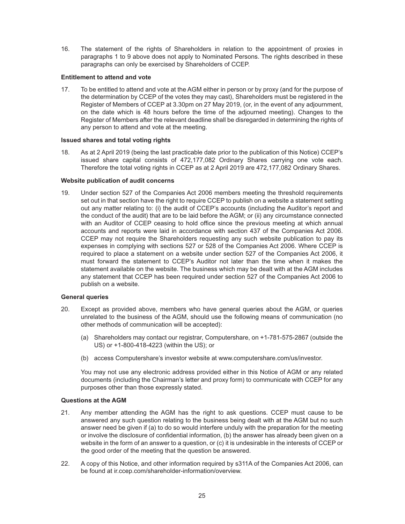16. The statement of the rights of Shareholders in relation to the appointment of proxies in paragraphs 1 to 9 above does not apply to Nominated Persons. The rights described in these paragraphs can only be exercised by Shareholders of CCEP.

## **Entitlement to attend and vote**

17. To be entitled to attend and vote at the AGM either in person or by proxy (and for the purpose of the determination by CCEP of the votes they may cast), Shareholders must be registered in the Register of Members of CCEP at 3.30pm on 27 May 2019, (or, in the event of any adjournment, on the date which is 48 hours before the time of the adjourned meeting). Changes to the Register of Members after the relevant deadline shall be disregarded in determining the rights of any person to attend and vote at the meeting.

## **Issued shares and total voting rights**

18. As at 2 April 2019 (being the last practicable date prior to the publication of this Notice) CCEP's issued share capital consists of 472,177,082 Ordinary Shares carrying one vote each. Therefore the total voting rights in CCEP as at 2 April 2019 are 472,177,082 Ordinary Shares.

## **Website publication of audit concerns**

19. Under section 527 of the Companies Act 2006 members meeting the threshold requirements set out in that section have the right to require CCEP to publish on a website a statement setting out any matter relating to: (i) the audit of CCEP's accounts (including the Auditor's report and the conduct of the audit) that are to be laid before the AGM; or (ii) any circumstance connected with an Auditor of CCEP ceasing to hold office since the previous meeting at which annual accounts and reports were laid in accordance with section 437 of the Companies Act 2006. CCEP may not require the Shareholders requesting any such website publication to pay its expenses in complying with sections 527 or 528 of the Companies Act 2006. Where CCEP is required to place a statement on a website under section 527 of the Companies Act 2006, it must forward the statement to CCEP's Auditor not later than the time when it makes the statement available on the website. The business which may be dealt with at the AGM includes any statement that CCEP has been required under section 527 of the Companies Act 2006 to publish on a website.

#### **General queries**

- 20. Except as provided above, members who have general queries about the AGM, or queries unrelated to the business of the AGM, should use the following means of communication (no other methods of communication will be accepted):
	- (a) Shareholders may contact our registrar, Computershare, on +1-781-575-2867 (outside the US) or +1-800-418-4223 (within the US); or
	- (b) access Computershare's investor website at www.computershare.com/us/investor.

You may not use any electronic address provided either in this Notice of AGM or any related documents (including the Chairman's letter and proxy form) to communicate with CCEP for any purposes other than those expressly stated.

## **Questions at the AGM**

- 21. Any member attending the AGM has the right to ask questions. CCEP must cause to be answered any such question relating to the business being dealt with at the AGM but no such answer need be given if (a) to do so would interfere unduly with the preparation for the meeting or involve the disclosure of confidential information, (b) the answer has already been given on a website in the form of an answer to a question, or (c) it is undesirable in the interests of CCEP or the good order of the meeting that the question be answered.
- 22. A copy of this Notice, and other information required by s311A of the Companies Act 2006, can be found at ir.ccep.com/shareholder-information/overview.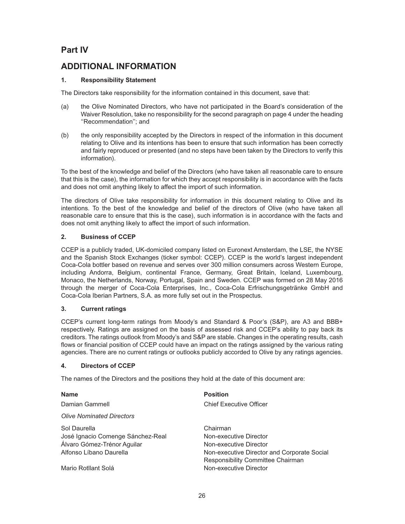# **Part IV**

# **ADDITIONAL INFORMATION**

# **1. Responsibility Statement**

The Directors take responsibility for the information contained in this document, save that:

- (a) the Olive Nominated Directors, who have not participated in the Board's consideration of the Waiver Resolution, take no responsibility for the second paragraph on page 4 under the heading ''Recommendation''; and
- (b) the only responsibility accepted by the Directors in respect of the information in this document relating to Olive and its intentions has been to ensure that such information has been correctly and fairly reproduced or presented (and no steps have been taken by the Directors to verify this information).

To the best of the knowledge and belief of the Directors (who have taken all reasonable care to ensure that this is the case), the information for which they accept responsibility is in accordance with the facts and does not omit anything likely to affect the import of such information.

The directors of Olive take responsibility for information in this document relating to Olive and its intentions. To the best of the knowledge and belief of the directors of Olive (who have taken all reasonable care to ensure that this is the case), such information is in accordance with the facts and does not omit anything likely to affect the import of such information.

# **2. Business of CCEP**

CCEP is a publicly traded, UK-domiciled company listed on Euronext Amsterdam, the LSE, the NYSE and the Spanish Stock Exchanges (ticker symbol: CCEP). CCEP is the world's largest independent Coca-Cola bottler based on revenue and serves over 300 million consumers across Western Europe, including Andorra, Belgium, continental France, Germany, Great Britain, Iceland, Luxembourg, Monaco, the Netherlands, Norway, Portugal, Spain and Sweden. CCEP was formed on 28 May 2016 through the merger of Coca-Cola Enterprises, Inc., Coca-Cola Erfrischungsgetränke GmbH and Coca-Cola Iberian Partners, S.A. as more fully set out in the Prospectus.

# **3. Current ratings**

CCEP's current long-term ratings from Moody's and Standard & Poor's (S&P), are A3 and BBB+ respectively. Ratings are assigned on the basis of assessed risk and CCEP's ability to pay back its creditors. The ratings outlook from Moody's and S&P are stable. Changes in the operating results, cash flows or financial position of CCEP could have an impact on the ratings assigned by the various rating agencies. There are no current ratings or outlooks publicly accorded to Olive by any ratings agencies.

# **4. Directors of CCEP**

The names of the Directors and the positions they hold at the date of this document are:

| <b>Name</b>                       | <b>Position</b>                             |
|-----------------------------------|---------------------------------------------|
| Damian Gammell                    | <b>Chief Executive Officer</b>              |
| <b>Olive Nominated Directors</b>  |                                             |
| Sol Daurella                      | Chairman                                    |
| José Ignacio Comenge Sánchez-Real | Non-executive Director                      |
| Álvaro Gómez-Trénor Aguilar       | Non-executive Director                      |
| Alfonso Líbano Daurella           | Non-executive Director and Corporate Social |
|                                   | Responsibility Committee Chairman           |
| Mario Rotllant Solá               | Non-executive Director                      |
|                                   |                                             |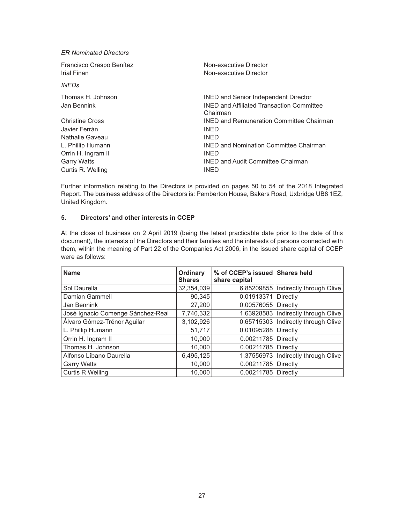*ER Nominated Directors*

| Francisco Crespo Benítez         | Non-executive Director                                                                                      |
|----------------------------------|-------------------------------------------------------------------------------------------------------------|
| Irial Finan                      | Non-executive Director                                                                                      |
| <i><b>INEDs</b></i>              |                                                                                                             |
| Thomas H. Johnson<br>Jan Bennink | <b>INED and Senior Independent Director</b><br><b>INED and Affiliated Transaction Committee</b><br>Chairman |
| <b>Christine Cross</b>           | <b>INED and Remuneration Committee Chairman</b>                                                             |
| Javier Ferrán                    | <b>INED</b>                                                                                                 |
| Nathalie Gaveau                  | <b>INED</b>                                                                                                 |
| L. Phillip Humann                | <b>INED and Nomination Committee Chairman</b>                                                               |
| Orrin H. Ingram II               | <b>INED</b>                                                                                                 |
| <b>Garry Watts</b>               | <b>INED and Audit Committee Chairman</b>                                                                    |
| Curtis R. Welling                | <b>INED</b>                                                                                                 |

Further information relating to the Directors is provided on pages 50 to 54 of the 2018 Integrated Report. The business address of the Directors is: Pemberton House, Bakers Road, Uxbridge UB8 1EZ, United Kingdom.

## **5. Directors' and other interests in CCEP**

At the close of business on 2 April 2019 (being the latest practicable date prior to the date of this document), the interests of the Directors and their families and the interests of persons connected with them, within the meaning of Part 22 of the Companies Act 2006, in the issued share capital of CCEP were as follows:

| <b>Name</b>                       | Ordinary<br><b>Shares</b> | % of CCEP's issued Shares held<br>share capital |                                       |
|-----------------------------------|---------------------------|-------------------------------------------------|---------------------------------------|
| Sol Daurella                      | 32,354,039                |                                                 | 6.85209855   Indirectly through Olive |
| Damian Gammell                    | 90,345                    | 0.01913371                                      | Directly                              |
| Jan Bennink                       | 27,200                    | 0.00576055                                      | Directly                              |
| José Ignacio Comenge Sánchez-Real | 7,740,332                 |                                                 | 1.63928583   Indirectly through Olive |
| Álvaro Gómez-Trénor Aguilar       | 3,102,926                 |                                                 | 0.65715303   Indirectly through Olive |
| L. Phillip Humann                 | 51,717                    | 0.01095288                                      | Directly                              |
| Orrin H. Ingram II                | 10.000                    | 0.00211785                                      | Directly                              |
| Thomas H. Johnson                 | 10.000                    | 0.00211785                                      | Directly                              |
| Alfonso Líbano Daurella           | 6,495,125                 | 1.37556973                                      | Indirectly through Olive              |
| <b>Garry Watts</b>                | 10.000                    | 0.00211785                                      | Directly                              |
| <b>Curtis R Welling</b>           | 10.000                    | 0.00211785                                      | Directly                              |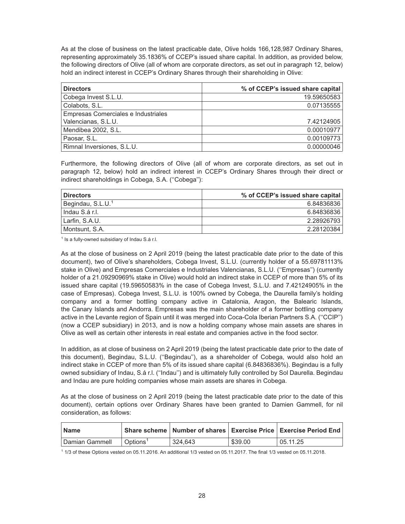As at the close of business on the latest practicable date, Olive holds 166,128,987 Ordinary Shares, representing approximately 35.1836% of CCEP's issued share capital. In addition, as provided below, the following directors of Olive (all of whom are corporate directors, as set out in paragraph 12, below) hold an indirect interest in CCEP's Ordinary Shares through their shareholding in Olive:

| <b>Directors</b>                    | % of CCEP's issued share capital |
|-------------------------------------|----------------------------------|
| Cobega Invest S.L.U.                | 19.59650583                      |
| Colabots, S.L.                      | 0.07135555                       |
| Empresas Comerciales e Industriales |                                  |
| Valencianas, S.L.U.                 | 7.42124905                       |
| Mendibea 2002, S.L.                 | 0.00010977                       |
| Paosar, S.L.                        | 0.00109773                       |
| Rimnal Inversiones, S.L.U.          | 0.00000046                       |

Furthermore, the following directors of Olive (all of whom are corporate directors, as set out in paragraph 12, below) hold an indirect interest in CCEP's Ordinary Shares through their direct or indirect shareholdings in Cobega, S.A. (''Cobega''):

| <b>Directors</b>              | % of CCEP's issued share capital |
|-------------------------------|----------------------------------|
| Begindau, S.L.U. <sup>1</sup> | 6.84836836                       |
| Indau S.á r.l.                | 6.84836836                       |
| Larfin, S.A.U.                | 2.28926793                       |
| Montsunt. S.A.                | 2.28120384                       |

<sup>1</sup> Is a fully-owned subsidiary of Indau S.á r.l.

As at the close of business on 2 April 2019 (being the latest practicable date prior to the date of this document), two of Olive's shareholders, Cobega Invest, S.L.U. (currently holder of a 55.69781113% stake in Olive) and Empresas Comerciales e Industriales Valencianas, S.L.U. (''Empresas'') (currently holder of a 21.09290969% stake in Olive) would hold an indirect stake in CCEP of more than 5% of its issued share capital (19.59650583% in the case of Cobega Invest, S.L.U. and 7.42124905% in the case of Empresas). Cobega Invest, S.L.U. is 100% owned by Cobega, the Daurella family's holding company and a former bottling company active in Catalonia, Aragon, the Balearic Islands, the Canary Islands and Andorra. Empresas was the main shareholder of a former bottling company active in the Levante region of Spain until it was merged into Coca-Cola Iberian Partners S.A. (''CCIP'') (now a CCEP subsidiary) in 2013, and is now a holding company whose main assets are shares in Olive as well as certain other interests in real estate and companies active in the food sector.

In addition, as at close of business on 2 April 2019 (being the latest practicable date prior to the date of this document), Begindau, S.L.U. (''Begindau''), as a shareholder of Cobega, would also hold an indirect stake in CCEP of more than 5% of its issued share capital (6.84836836%). Begindau is a fully owned subsidiary of Indau, S.á r.l. (''Indau'') and is ultimately fully controlled by Sol Daurella. Begindau and Indau are pure holding companies whose main assets are shares in Cobega.

As at the close of business on 2 April 2019 (being the latest practicable date prior to the date of this document), certain options over Ordinary Shares have been granted to Damien Gammell, for nil consideration, as follows:

| <b>Name</b>    |                        |         |         | Share scheme   Number of shares   Exercise Price   Exercise Period End |
|----------------|------------------------|---------|---------|------------------------------------------------------------------------|
| Damian Gammell | ∣ Options <sup>1</sup> | 324.643 | \$39.00 | 05.11.25                                                               |

1 1/3 of these Options vested on 05.11.2016. An additional 1/3 vested on 05.11.2017. The final 1/3 vested on 05.11.2018.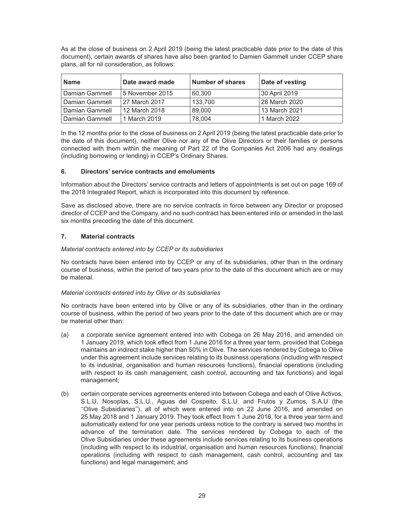As at the close of business on 2 April 2019 (being the latest practicable date prior to the date of this document), certain awards of shares have also been granted to Damien Gammell under CCEP share plans, all for nil consideration, as follows:

| <b>Name</b>    | Date award made | <b>Number of shares</b> | Date of vesting |
|----------------|-----------------|-------------------------|-----------------|
| Damian Gammell | 5 November 2015 | 60,300                  | 30 April 2019   |
| Damian Gammell | 27 March 2017   | 133.700                 | 28 March 2020   |
| Damian Gammell | 12 March 2018   | 89,000                  | 13 March 2021   |
| Damian Gammell | 1 March 2019    | 78,004                  | 1 March 2022    |

In the 12 months prior to the close of business on 2 April 2019 (being the latest practicable date prior to the date of this document), neither Olive nor any of the Olive Directors or their families or persons connected with them within the meaning of Part 22 of the Companies Act 2006 had any dealings (including borrowing or lending) in CCEP's Ordinary Shares.

## **6. Directors' service contracts and emoluments**

Information about the Directors' service contracts and letters of appointments is set out on page 169 of the 2018 Integrated Report, which is incorporated into this document by reference.

Save as disclosed above, there are no service contracts in force between any Director or proposed director of CCEP and the Company, and no such contract has been entered into or amended in the last six months preceding the date of this document.

## **7. Material contracts**

## *Material contracts entered into by CCEP or its subsidiaries*

No contracts have been entered into by CCEP or any of its subsidiaries, other than in the ordinary course of business, within the period of two years prior to the date of this document which are or may be material.

## *Material contracts entered into by Olive or its subsidiaries*

No contracts have been entered into by Olive or any of its subsidiaries, other than in the ordinary course of business, within the period of two years prior to the date of this document which are or may be material other than:

- (a) a corporate service agreement entered into with Cobega on 26 May 2016, and amended on 1 January 2019, which took effect from 1 June 2016 for a three year term, provided that Cobega maintains an indirect stake higher than 50% in Olive. The services rendered by Cobega to Olive under this agreement include services relating to its business operations (including with respect to its industrial, organisation and human resources functions), financial operations (including with respect to its cash management, cash control, accounting and tax functions) and legal management;
- (b) certain corporate services agreements entered into between Cobega and each of Olive Activos, S.L.U, Nosoplas, S.L.U., Aguas del Cospeito, S.L.U. and Frutos y Zumos, S.A.U (the ''Olive Subsidiaries''), all of which were entered into on 22 June 2016, and amended on 25 May 2018 and 1 January 2019. They took effect from 1 June 2016, for a three year term and automatically extend for one year periods unless notice to the contrary is served two months in advance of the termination date. The services rendered by Cobega to each of the Olive Subsidiaries under these agreements include services relating to its business operations (including with respect to its industrial, organisation and human resources functions), financial operations (including with respect to cash management, cash control, accounting and tax functions) and legal management; and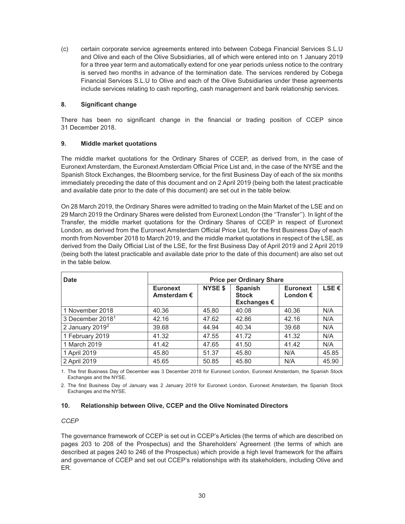(c) certain corporate service agreements entered into between Cobega Financial Services S.L.U and Olive and each of the Olive Subsidiaries, all of which were entered into on 1 January 2019 for a three year term and automatically extend for one year periods unless notice to the contrary is served two months in advance of the termination date. The services rendered by Cobega Financial Services S.L.U to Olive and each of the Olive Subsidiaries under these agreements include services relating to cash reporting, cash management and bank relationship services.

## **8. Significant change**

There has been no significant change in the financial or trading position of CCEP since 31 December 2018.

## **9. Middle market quotations**

The middle market quotations for the Ordinary Shares of CCEP, as derived from, in the case of Euronext Amsterdam, the Euronext Amsterdam Official Price List and, in the case of the NYSE and the Spanish Stock Exchanges, the Bloomberg service, for the first Business Day of each of the six months immediately preceding the date of this document and on 2 April 2019 (being both the latest practicable and available date prior to the date of this document) are set out in the table below.

On 28 March 2019, the Ordinary Shares were admitted to trading on the Main Market of the LSE and on 29 March 2019 the Ordinary Shares were delisted from Euronext London (the ''Transfer''). In light of the Transfer, the middle market quotations for the Ordinary Shares of CCEP in respect of Euronext London, as derived from the Euronext Amsterdam Official Price List, for the first Business Day of each month from November 2018 to March 2019, and the middle market quotations in respect of the LSE, as derived from the Daily Official List of the LSE, for the first Business Day of April 2019 and 2 April 2019 (being both the latest practicable and available date prior to the date of this document) are also set out in the table below.

| <b>Date</b>                  | <b>Price per Ordinary Share</b>         |                |                                                 |                                      |                |
|------------------------------|-----------------------------------------|----------------|-------------------------------------------------|--------------------------------------|----------------|
|                              | <b>Euronext</b><br>Amsterdam $\epsilon$ | <b>NYSE \$</b> | Spanish<br><b>Stock</b><br>Exchanges $\epsilon$ | <b>Euronext</b><br>London $\epsilon$ | LSE $\epsilon$ |
| 1 November 2018              | 40.36                                   | 45.80          | 40.08                                           | 40.36                                | N/A            |
| 3 December 2018 <sup>1</sup> | 42.16                                   | 47.62          | 42.86                                           | 42.16                                | N/A            |
| 2 January $2019^2$           | 39.68                                   | 44.94          | 40.34                                           | 39.68                                | N/A            |
| 1 February 2019              | 41.32                                   | 47.55          | 41.72                                           | 41.32                                | N/A            |
| 1 March 2019                 | 41.42                                   | 47.65          | 41.50                                           | 41.42                                | N/A            |
| 1 April 2019                 | 45.80                                   | 51.37          | 45.80                                           | N/A                                  | 45.85          |
| 2 April 2019                 | 45.65                                   | 50.85          | 45.80                                           | N/A                                  | 45.90          |

1. The first Business Day of December was 3 December 2018 for Euronext London, Euronext Amsterdam, the Spanish Stock Exchanges and the NYSE.

2. The first Business Day of January was 2 January 2019 for Euronext London, Euronext Amsterdam, the Spanish Stock Exchanges and the NYSE.

## **10. Relationship between Olive, CCEP and the Olive Nominated Directors**

#### *CCEP*

The governance framework of CCEP is set out in CCEP's Articles (the terms of which are described on pages 203 to 208 of the Prospectus) and the Shareholders' Agreement (the terms of which are described at pages 240 to 246 of the Prospectus) which provide a high level framework for the affairs and governance of CCEP and set out CCEP's relationships with its stakeholders, including Olive and ER.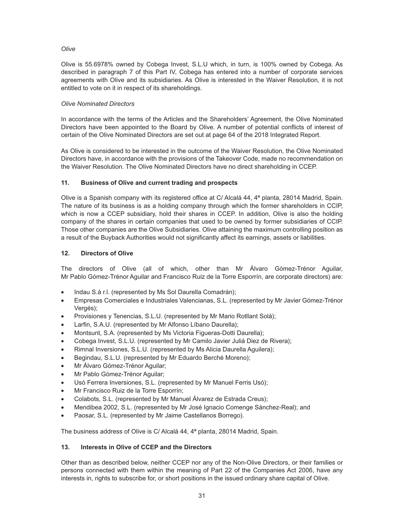## *Olive*

Olive is 55.6978% owned by Cobega Invest, S.L.U which, in turn, is 100% owned by Cobega. As described in paragraph 7 of this Part IV, Cobega has entered into a number of corporate services agreements with Olive and its subsidiaries. As Olive is interested in the Waiver Resolution, it is not entitled to vote on it in respect of its shareholdings.

## *Olive Nominated Directors*

In accordance with the terms of the Articles and the Shareholders' Agreement, the Olive Nominated Directors have been appointed to the Board by Olive. A number of potential conflicts of interest of certain of the Olive Nominated Directors are set out at page 64 of the 2018 Integrated Report.

As Olive is considered to be interested in the outcome of the Waiver Resolution, the Olive Nominated Directors have, in accordance with the provisions of the Takeover Code, made no recommendation on the Waiver Resolution. The Olive Nominated Directors have no direct shareholding in CCEP.

## **11. Business of Olive and current trading and prospects**

Olive is a Spanish company with its registered office at C/ Alcalá 44, 4ª planta, 28014 Madrid, Spain. The nature of its business is as a holding company through which the former shareholders in CCIP, which is now a CCEP subsidiary, hold their shares in CCEP. In addition, Olive is also the holding company of the shares in certain companies that used to be owned by former subsidiaries of CCIP. Those other companies are the Olive Subsidiaries. Olive attaining the maximum controlling position as a result of the Buyback Authorities would not significantly affect its earnings, assets or liabilities.

## **12. Directors of Olive**

The directors of Olive (all of which, other than Mr Álvaro Gómez-Trénor Aguilar, Mr Pablo Gómez-Trénor Aguilar and Francisco Ruiz de la Torre Esporrín, are corporate directors) are:

- Indau S.á r.l. (represented by Ms Sol Daurella Comadrán);
- Empresas Comerciales e Industriales Valencianas, S.L. (represented by Mr Javier Gómez-Trénor Vergés);
- Provisiones y Tenencias, S.L.U. (represented by Mr Mario Rotllant Solá);
- Larfin, S.A.U. (represented by Mr Alfonso Líbano Daurella);
- Montsunt, S.A. (represented by Ms Victoria Figueras-Dotti Daurella);
- Cobega Invest, S.L.U. (represented by Mr Camilo Javier Juliá Diez de Rivera);
- Rimnal Inversiones, S.L.U. (represented by Ms Alicia Daurella Aguilera);
- Begindau, S.L.U. (represented by Mr Eduardo Berché Moreno);
- Mr Álvaro Gómez-Trénor Aguilar;
- Mr Pablo Gómez-Trénor Aguilar;
- Usó Ferrera Inversiones, S.L. (represented by Mr Manuel Ferris Usó);
- Mr Francisco Ruiz de la Torre Esporrín;
- Colabots, S.L. (represented by Mr Manuel Álvarez de Estrada Creus);
- Mendibea 2002, S.L. (represented by Mr José Ignacio Comenge Sánchez-Real); and
- Paosar, S.L. (represented by Mr Jaime Castellanos Borrego).

The business address of Olive is C/ Alcalá 44, 4ª planta, 28014 Madrid, Spain.

## **13. Interests in Olive of CCEP and the Directors**

Other than as described below, neither CCEP nor any of the Non-Olive Directors, or their families or persons connected with them within the meaning of Part 22 of the Companies Act 2006, have any interests in, rights to subscribe for, or short positions in the issued ordinary share capital of Olive.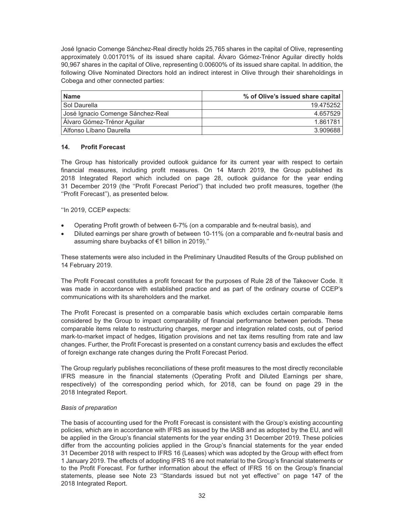José Ignacio Comenge Sánchez-Real directly holds 25,765 shares in the capital of Olive, representing approximately 0.001701% of its issued share capital. Álvaro Gómez-Trénor Aguilar directly holds 90,967 shares in the capital of Olive, representing 0.00600% of its issued share capital. In addition, the following Olive Nominated Directors hold an indirect interest in Olive through their shareholdings in Cobega and other connected parties:

| <b>Name</b>                       | % of Olive's issued share capital |
|-----------------------------------|-----------------------------------|
| Sol Daurella                      | 19.475252                         |
| José Ignacio Comenge Sánchez-Real | 4.657529                          |
| Álvaro Gómez-Trénor Aguilar       | 1.861781                          |
| Alfonso Líbano Daurella           | 3.909688                          |

## **14. Profit Forecast**

The Group has historically provided outlook guidance for its current year with respect to certain financial measures, including profit measures. On 14 March 2019, the Group published its 2018 Integrated Report which included on page 28, outlook guidance for the year ending 31 December 2019 (the ''Profit Forecast Period'') that included two profit measures, together (the ''Profit Forecast''), as presented below.

''In 2019, CCEP expects:

- Operating Profit growth of between 6-7% (on a comparable and fx-neutral basis), and
- Diluted earnings per share growth of between 10-11% (on a comparable and fx-neutral basis and assuming share buybacks of €1 billion in 2019).''

These statements were also included in the Preliminary Unaudited Results of the Group published on 14 February 2019.

The Profit Forecast constitutes a profit forecast for the purposes of Rule 28 of the Takeover Code. It was made in accordance with established practice and as part of the ordinary course of CCEP's communications with its shareholders and the market.

The Profit Forecast is presented on a comparable basis which excludes certain comparable items considered by the Group to impact comparability of financial performance between periods. These comparable items relate to restructuring charges, merger and integration related costs, out of period mark-to-market impact of hedges, litigation provisions and net tax items resulting from rate and law changes. Further, the Profit Forecast is presented on a constant currency basis and excludes the effect of foreign exchange rate changes during the Profit Forecast Period.

The Group regularly publishes reconciliations of these profit measures to the most directly reconcilable IFRS measure in the financial statements (Operating Profit and Diluted Earnings per share, respectively) of the corresponding period which, for 2018, can be found on page 29 in the 2018 Integrated Report.

#### *Basis of preparation*

The basis of accounting used for the Profit Forecast is consistent with the Group's existing accounting policies, which are in accordance with IFRS as issued by the IASB and as adopted by the EU, and will be applied in the Group's financial statements for the year ending 31 December 2019. These policies differ from the accounting policies applied in the Group's financial statements for the year ended 31 December 2018 with respect to IFRS 16 (Leases) which was adopted by the Group with effect from 1 January 2019. The effects of adopting IFRS 16 are not material to the Group's financial statements or to the Profit Forecast. For further information about the effect of IFRS 16 on the Group's financial statements, please see Note 23 ''Standards issued but not yet effective'' on page 147 of the 2018 Integrated Report.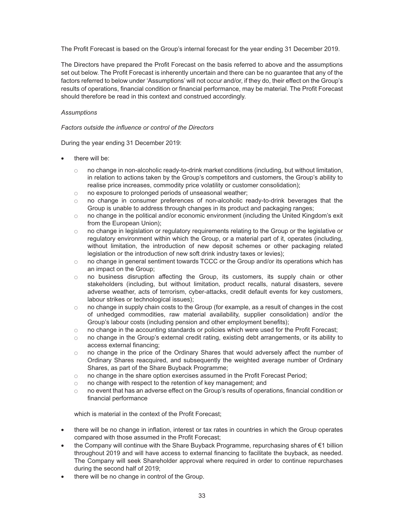The Profit Forecast is based on the Group's internal forecast for the year ending 31 December 2019.

The Directors have prepared the Profit Forecast on the basis referred to above and the assumptions set out below. The Profit Forecast is inherently uncertain and there can be no guarantee that any of the factors referred to below under 'Assumptions' will not occur and/or, if they do, their effect on the Group's results of operations, financial condition or financial performance, may be material. The Profit Forecast should therefore be read in this context and construed accordingly.

#### *Assumptions*

## *Factors outside the influence or control of the Directors*

During the year ending 31 December 2019:

- there will be:
	- no change in non-alcoholic ready-to-drink market conditions (including, but without limitation, in relation to actions taken by the Group's competitors and customers, the Group's ability to realise price increases, commodity price volatility or customer consolidation);
	- o no exposure to prolonged periods of unseasonal weather;
	- $\circ$  no change in consumer preferences of non-alcoholic ready-to-drink beverages that the Group is unable to address through changes in its product and packaging ranges;
	- $\circ$  no change in the political and/or economic environment (including the United Kingdom's exit from the European Union);
	- no change in legislation or regulatory requirements relating to the Group or the legislative or regulatory environment within which the Group, or a material part of it, operates (including, without limitation, the introduction of new deposit schemes or other packaging related legislation or the introduction of new soft drink industry taxes or levies);
	- no change in general sentiment towards TCCC or the Group and/or its operations which has an impact on the Group;
	- o no business disruption affecting the Group, its customers, its supply chain or other stakeholders (including, but without limitation, product recalls, natural disasters, severe adverse weather, acts of terrorism, cyber-attacks, credit default events for key customers, labour strikes or technological issues);
	- $\circ$  no change in supply chain costs to the Group (for example, as a result of changes in the cost of unhedged commodities, raw material availability, supplier consolidation) and/or the Group's labour costs (including pension and other employment benefits);
	- no change in the accounting standards or policies which were used for the Profit Forecast;
	- $\circ$  no change in the Group's external credit rating, existing debt arrangements, or its ability to access external financing;
	- no change in the price of the Ordinary Shares that would adversely affect the number of Ordinary Shares reacquired, and subsequently the weighted average number of Ordinary Shares, as part of the Share Buyback Programme;
	- $\circ$  no change in the share option exercises assumed in the Profit Forecast Period;
	- no change with respect to the retention of key management; and
	- $\circ$  no event that has an adverse effect on the Group's results of operations, financial condition or financial performance

which is material in the context of the Profit Forecast;

- there will be no change in inflation, interest or tax rates in countries in which the Group operates compared with those assumed in the Profit Forecast;
- the Company will continue with the Share Buyback Programme, repurchasing shares of €1 billion throughout 2019 and will have access to external financing to facilitate the buyback, as needed. The Company will seek Shareholder approval where required in order to continue repurchases during the second half of 2019;
- there will be no change in control of the Group.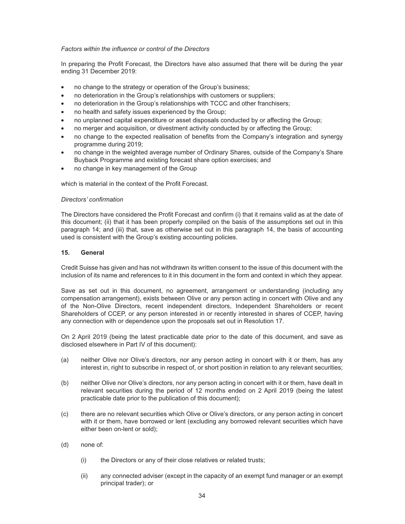## *Factors within the influence or control of the Directors*

In preparing the Profit Forecast, the Directors have also assumed that there will be during the year ending 31 December 2019:

- no change to the strategy or operation of the Group's business;
- no deterioration in the Group's relationships with customers or suppliers;
- no deterioration in the Group's relationships with TCCC and other franchisers;
- no health and safety issues experienced by the Group;
- no unplanned capital expenditure or asset disposals conducted by or affecting the Group;
- no merger and acquisition, or divestment activity conducted by or affecting the Group;
- no change to the expected realisation of benefits from the Company's integration and synergy programme during 2019;
- no change in the weighted average number of Ordinary Shares, outside of the Company's Share Buyback Programme and existing forecast share option exercises; and
- no change in key management of the Group

which is material in the context of the Profit Forecast.

#### *Directors' confirmation*

The Directors have considered the Profit Forecast and confirm (i) that it remains valid as at the date of this document; (ii) that it has been properly compiled on the basis of the assumptions set out in this paragraph 14; and (iii) that, save as otherwise set out in this paragraph 14, the basis of accounting used is consistent with the Group's existing accounting policies.

## **15. General**

Credit Suisse has given and has not withdrawn its written consent to the issue of this document with the inclusion of its name and references to it in this document in the form and context in which they appear.

Save as set out in this document, no agreement, arrangement or understanding (including any compensation arrangement), exists between Olive or any person acting in concert with Olive and any of the Non-Olive Directors, recent independent directors, Independent Shareholders or recent Shareholders of CCEP, or any person interested in or recently interested in shares of CCEP, having any connection with or dependence upon the proposals set out in Resolution 17.

On 2 April 2019 (being the latest practicable date prior to the date of this document, and save as disclosed elsewhere in Part IV of this document):

- (a) neither Olive nor Olive's directors, nor any person acting in concert with it or them, has any interest in, right to subscribe in respect of, or short position in relation to any relevant securities;
- (b) neither Olive nor Olive's directors, nor any person acting in concert with it or them, have dealt in relevant securities during the period of 12 months ended on 2 April 2019 (being the latest practicable date prior to the publication of this document);
- (c) there are no relevant securities which Olive or Olive's directors, or any person acting in concert with it or them, have borrowed or lent (excluding any borrowed relevant securities which have either been on-lent or sold);
- (d) none of:
	- (i) the Directors or any of their close relatives or related trusts;
	- (ii) any connected adviser (except in the capacity of an exempt fund manager or an exempt principal trader); or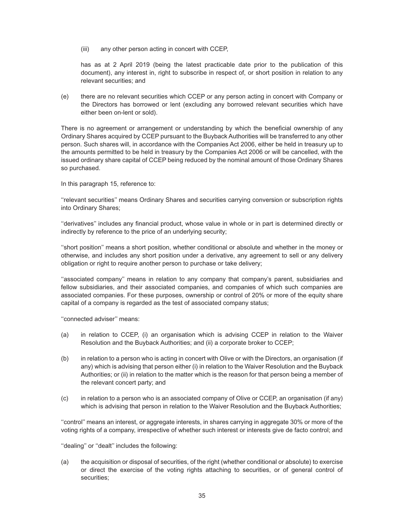(iii) any other person acting in concert with CCEP,

has as at 2 April 2019 (being the latest practicable date prior to the publication of this document), any interest in, right to subscribe in respect of, or short position in relation to any relevant securities; and

(e) there are no relevant securities which CCEP or any person acting in concert with Company or the Directors has borrowed or lent (excluding any borrowed relevant securities which have either been on-lent or sold).

There is no agreement or arrangement or understanding by which the beneficial ownership of any Ordinary Shares acquired by CCEP pursuant to the Buyback Authorities will be transferred to any other person. Such shares will, in accordance with the Companies Act 2006, either be held in treasury up to the amounts permitted to be held in treasury by the Companies Act 2006 or will be cancelled, with the issued ordinary share capital of CCEP being reduced by the nominal amount of those Ordinary Shares so purchased.

In this paragraph 15, reference to:

''relevant securities'' means Ordinary Shares and securities carrying conversion or subscription rights into Ordinary Shares;

''derivatives'' includes any financial product, whose value in whole or in part is determined directly or indirectly by reference to the price of an underlying security;

''short position'' means a short position, whether conditional or absolute and whether in the money or otherwise, and includes any short position under a derivative, any agreement to sell or any delivery obligation or right to require another person to purchase or take delivery;

''associated company'' means in relation to any company that company's parent, subsidiaries and fellow subsidiaries, and their associated companies, and companies of which such companies are associated companies. For these purposes, ownership or control of 20% or more of the equity share capital of a company is regarded as the test of associated company status;

''connected adviser'' means:

- (a) in relation to CCEP, (i) an organisation which is advising CCEP in relation to the Waiver Resolution and the Buyback Authorities; and (ii) a corporate broker to CCEP;
- (b) in relation to a person who is acting in concert with Olive or with the Directors, an organisation (if any) which is advising that person either (i) in relation to the Waiver Resolution and the Buyback Authorities; or (ii) in relation to the matter which is the reason for that person being a member of the relevant concert party; and
- (c) in relation to a person who is an associated company of Olive or CCEP, an organisation (if any) which is advising that person in relation to the Waiver Resolution and the Buyback Authorities;

''control'' means an interest, or aggregate interests, in shares carrying in aggregate 30% or more of the voting rights of a company, irrespective of whether such interest or interests give de facto control; and

''dealing'' or ''dealt'' includes the following:

(a) the acquisition or disposal of securities, of the right (whether conditional or absolute) to exercise or direct the exercise of the voting rights attaching to securities, or of general control of securities;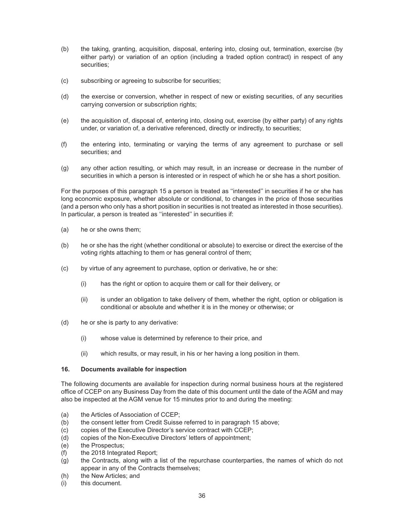- (b) the taking, granting, acquisition, disposal, entering into, closing out, termination, exercise (by either party) or variation of an option (including a traded option contract) in respect of any securities;
- (c) subscribing or agreeing to subscribe for securities;
- (d) the exercise or conversion, whether in respect of new or existing securities, of any securities carrying conversion or subscription rights;
- (e) the acquisition of, disposal of, entering into, closing out, exercise (by either party) of any rights under, or variation of, a derivative referenced, directly or indirectly, to securities;
- (f) the entering into, terminating or varying the terms of any agreement to purchase or sell securities; and
- (g) any other action resulting, or which may result, in an increase or decrease in the number of securities in which a person is interested or in respect of which he or she has a short position.

For the purposes of this paragraph 15 a person is treated as ''interested'' in securities if he or she has long economic exposure, whether absolute or conditional, to changes in the price of those securities (and a person who only has a short position in securities is not treated as interested in those securities). In particular, a person is treated as ''interested'' in securities if:

- (a) he or she owns them;
- (b) he or she has the right (whether conditional or absolute) to exercise or direct the exercise of the voting rights attaching to them or has general control of them;
- (c) by virtue of any agreement to purchase, option or derivative, he or she:
	- (i) has the right or option to acquire them or call for their delivery, or
	- (ii) is under an obligation to take delivery of them, whether the right, option or obligation is conditional or absolute and whether it is in the money or otherwise; or
- (d) he or she is party to any derivative:
	- (i) whose value is determined by reference to their price, and
	- (ii) which results, or may result, in his or her having a long position in them.

## **16. Documents available for inspection**

The following documents are available for inspection during normal business hours at the registered office of CCEP on any Business Day from the date of this document until the date of the AGM and may also be inspected at the AGM venue for 15 minutes prior to and during the meeting:

- (a) the Articles of Association of CCEP;
- (b) the consent letter from Credit Suisse referred to in paragraph 15 above;
- (c) copies of the Executive Director's service contract with CCEP;
- (d) copies of the Non-Executive Directors' letters of appointment;
- (e) the Prospectus;
- (f) the 2018 Integrated Report;
- (g) the Contracts, along with a list of the repurchase counterparties, the names of which do not appear in any of the Contracts themselves;
- (h) the New Articles; and
- (i) this document.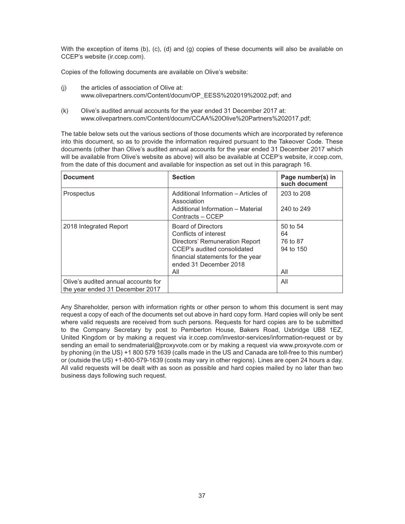With the exception of items (b), (c), (d) and (g) copies of these documents will also be available on CCEP's website (ir.ccep.com).

Copies of the following documents are available on Olive's website:

- (j) the articles of association of Olive at: www.olivepartners.com/Content/docum/OP\_EESS%202019%2002.pdf; and
- (k) Olive's audited annual accounts for the year ended 31 December 2017 at: www.olivepartners.com/Content/docum/CCAA%20Olive%20Partners%202017.pdf;

The table below sets out the various sections of those documents which are incorporated by reference into this document, so as to provide the information required pursuant to the Takeover Code. These documents (other than Olive's audited annual accounts for the year ended 31 December 2017 which will be available from Olive's website as above) will also be available at CCEP's website, ir.ccep.com, from the date of this document and available for inspection as set out in this paragraph 16.

| <b>Document</b>                                                        | <b>Section</b>                                                                                                                                                                            | Page number(s) in<br>such document             |
|------------------------------------------------------------------------|-------------------------------------------------------------------------------------------------------------------------------------------------------------------------------------------|------------------------------------------------|
| Prospectus                                                             | Additional Information - Articles of<br>Association                                                                                                                                       | 203 to 208                                     |
|                                                                        | Additional Information - Material<br>Contracts - CCEP                                                                                                                                     | 240 to 249                                     |
| 2018 Integrated Report                                                 | <b>Board of Directors</b><br>Conflicts of interest<br>Directors' Remuneration Report<br>CCEP's audited consolidated<br>financial statements for the year<br>ended 31 December 2018<br>All | 50 to 54<br>64<br>76 to 87<br>94 to 150<br>All |
| Olive's audited annual accounts for<br>the year ended 31 December 2017 |                                                                                                                                                                                           | All                                            |

Any Shareholder, person with information rights or other person to whom this document is sent may request a copy of each of the documents set out above in hard copy form. Hard copies will only be sent where valid requests are received from such persons. Requests for hard copies are to be submitted to the Company Secretary by post to Pemberton House, Bakers Road, Uxbridge UB8 1EZ, United Kingdom or by making a request via ir.ccep.com/investor-services/information-request or by sending an email to sendmaterial@proxyvote.com or by making a request via www.proxyvote.com or by phoning (in the US) +1 800 579 1639 (calls made in the US and Canada are toll-free to this number) or (outside the US) +1-800-579-1639 (costs may vary in other regions). Lines are open 24 hours a day. All valid requests will be dealt with as soon as possible and hard copies mailed by no later than two business days following such request.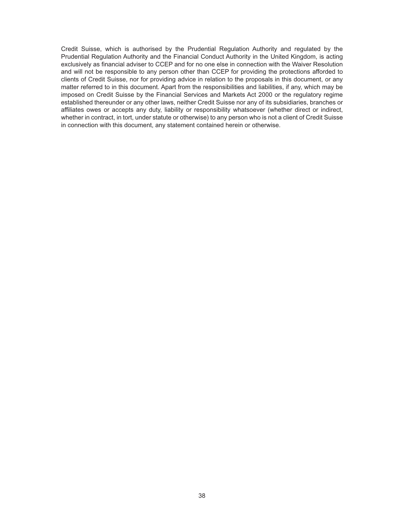Credit Suisse, which is authorised by the Prudential Regulation Authority and regulated by the Prudential Regulation Authority and the Financial Conduct Authority in the United Kingdom, is acting exclusively as financial adviser to CCEP and for no one else in connection with the Waiver Resolution and will not be responsible to any person other than CCEP for providing the protections afforded to clients of Credit Suisse, nor for providing advice in relation to the proposals in this document, or any matter referred to in this document. Apart from the responsibilities and liabilities, if any, which may be imposed on Credit Suisse by the Financial Services and Markets Act 2000 or the regulatory regime established thereunder or any other laws, neither Credit Suisse nor any of its subsidiaries, branches or affiliates owes or accepts any duty, liability or responsibility whatsoever (whether direct or indirect, whether in contract, in tort, under statute or otherwise) to any person who is not a client of Credit Suisse in connection with this document, any statement contained herein or otherwise.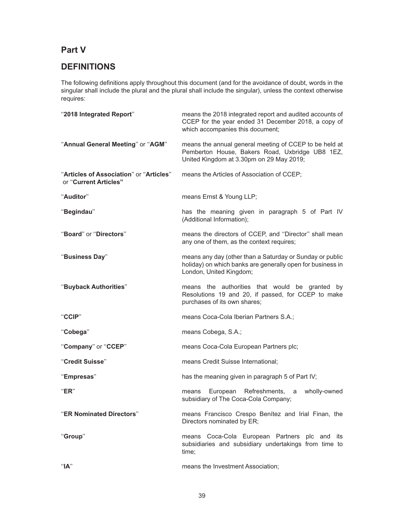# **Part V**

# **DEFINITIONS**

The following definitions apply throughout this document (and for the avoidance of doubt, words in the singular shall include the plural and the plural shall include the singular), unless the context otherwise requires:

| "2018 Integrated Report"                                         | means the 2018 integrated report and audited accounts of<br>CCEP for the year ended 31 December 2018, a copy of<br>which accompanies this document;   |
|------------------------------------------------------------------|-------------------------------------------------------------------------------------------------------------------------------------------------------|
| "Annual General Meeting" or "AGM"                                | means the annual general meeting of CCEP to be held at<br>Pemberton House, Bakers Road, Uxbridge UB8 1EZ,<br>United Kingdom at 3.30pm on 29 May 2019; |
| "Articles of Association" or "Articles"<br>or "Current Articles" | means the Articles of Association of CCEP;                                                                                                            |
| "Auditor"                                                        | means Ernst & Young LLP;                                                                                                                              |
| "Begindau"                                                       | has the meaning given in paragraph 5 of Part IV<br>(Additional Information);                                                                          |
| "Board" or "Directors"                                           | means the directors of CCEP, and "Director" shall mean<br>any one of them, as the context requires;                                                   |
| "Business Day"                                                   | means any day (other than a Saturday or Sunday or public<br>holiday) on which banks are generally open for business in<br>London, United Kingdom;     |
| "Buyback Authorities"                                            | means the authorities that would be granted by<br>Resolutions 19 and 20, if passed, for CCEP to make<br>purchases of its own shares;                  |
| "CCIP"                                                           | means Coca-Cola Iberian Partners S.A.;                                                                                                                |
| "Cobega"                                                         | means Cobega, S.A.;                                                                                                                                   |
| "Company" or "CCEP"                                              | means Coca-Cola European Partners plc;                                                                                                                |
| "Credit Suisse"                                                  | means Credit Suisse International;                                                                                                                    |
| "Empresas"                                                       | has the meaning given in paragraph 5 of Part IV;                                                                                                      |
| "ER"                                                             | European Refreshments,<br>wholly-owned<br>means<br>a<br>subsidiary of The Coca-Cola Company;                                                          |
| "ER Nominated Directors"                                         | means Francisco Crespo Benítez and Irial Finan, the<br>Directors nominated by ER;                                                                     |
| "Group"                                                          | means Coca-Cola European Partners plc and its<br>subsidiaries and subsidiary undertakings from time to<br>time;                                       |
| "A"                                                              | means the Investment Association;                                                                                                                     |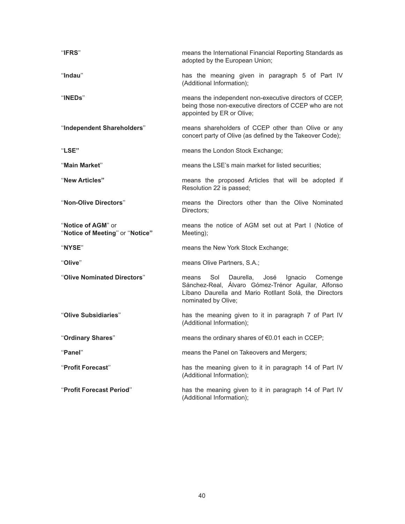| "IFRS"                                                | means the International Financial Reporting Standards as<br>adopted by the European Union;                                                                                                     |
|-------------------------------------------------------|------------------------------------------------------------------------------------------------------------------------------------------------------------------------------------------------|
| "Indau"                                               | has the meaning given in paragraph 5 of Part IV<br>(Additional Information);                                                                                                                   |
| "INEDs"                                               | means the independent non-executive directors of CCEP,<br>being those non-executive directors of CCEP who are not<br>appointed by ER or Olive;                                                 |
| "Independent Shareholders"                            | means shareholders of CCEP other than Olive or any<br>concert party of Olive (as defined by the Takeover Code);                                                                                |
| "LSE"                                                 | means the London Stock Exchange;                                                                                                                                                               |
| "Main Market"                                         | means the LSE's main market for listed securities;                                                                                                                                             |
| "New Articles"                                        | means the proposed Articles that will be adopted if<br>Resolution 22 is passed;                                                                                                                |
| "Non-Olive Directors"                                 | means the Directors other than the Olive Nominated<br>Directors;                                                                                                                               |
| "Notice of AGM" or<br>"Notice of Meeting" or "Notice" | means the notice of AGM set out at Part I (Notice of<br>Meeting);                                                                                                                              |
| "NYSE"                                                | means the New York Stock Exchange;                                                                                                                                                             |
| "Olive"                                               | means Olive Partners, S.A.;                                                                                                                                                                    |
| "Olive Nominated Directors"                           | Sol<br>Daurella,<br>José<br>Ignacio<br>Comenge<br>means<br>Sánchez-Real, Álvaro Gómez-Trénor Aguilar, Alfonso<br>Líbano Daurella and Mario Rotllant Solá, the Directors<br>nominated by Olive; |
| "Olive Subsidiaries"                                  | has the meaning given to it in paragraph 7 of Part IV<br>(Additional Information);                                                                                                             |
| "Ordinary Shares"                                     | means the ordinary shares of €0.01 each in CCEP;                                                                                                                                               |
| "Panel"                                               | means the Panel on Takeovers and Mergers;                                                                                                                                                      |
| "Profit Forecast"                                     | has the meaning given to it in paragraph 14 of Part IV<br>(Additional Information);                                                                                                            |
| "Profit Forecast Period"                              | has the meaning given to it in paragraph 14 of Part IV<br>(Additional Information);                                                                                                            |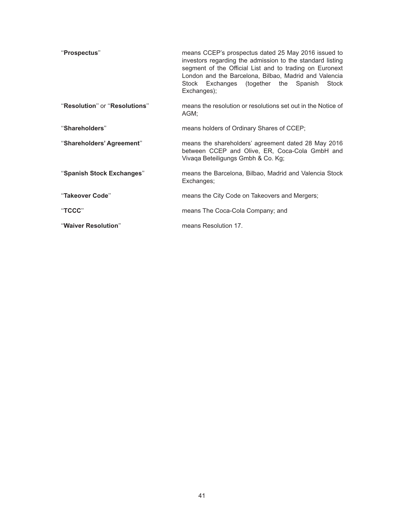| "Prospectus"                  | means CCEP's prospectus dated 25 May 2016 issued to<br>investors regarding the admission to the standard listing<br>segment of the Official List and to trading on Euronext<br>London and the Barcelona, Bilbao, Madrid and Valencia<br>Stock Exchanges (together the Spanish Stock<br>Exchanges); |
|-------------------------------|----------------------------------------------------------------------------------------------------------------------------------------------------------------------------------------------------------------------------------------------------------------------------------------------------|
| "Resolution" or "Resolutions" | means the resolution or resolutions set out in the Notice of<br>AGM;                                                                                                                                                                                                                               |
| "Shareholders"                | means holders of Ordinary Shares of CCEP;                                                                                                                                                                                                                                                          |
| "Shareholders' Agreement"     | means the shareholders' agreement dated 28 May 2016<br>between CCEP and Olive, ER, Coca-Cola GmbH and<br>Vivaga Beteiligungs Gmbh & Co. Kg;                                                                                                                                                        |
| "Spanish Stock Exchanges"     | means the Barcelona, Bilbao, Madrid and Valencia Stock<br>Exchanges;                                                                                                                                                                                                                               |
| "Takeover Code"               | means the City Code on Takeovers and Mergers;                                                                                                                                                                                                                                                      |
| "TCCC"                        | means The Coca-Cola Company; and                                                                                                                                                                                                                                                                   |
| "Waiver Resolution"           | means Resolution 17.                                                                                                                                                                                                                                                                               |